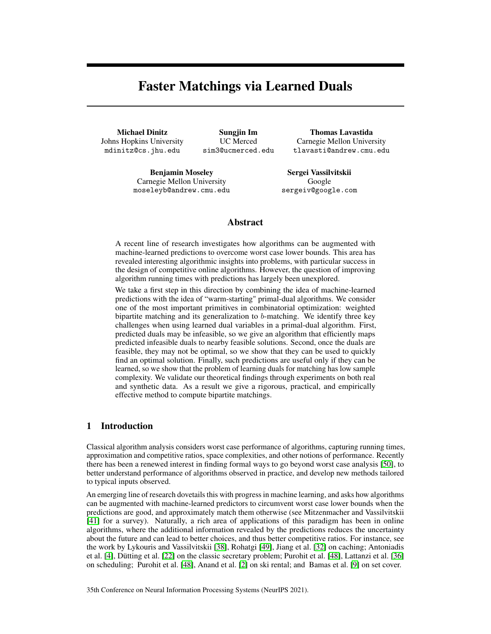# Faster Matchings via Learned Duals

Michael Dinitz Johns Hopkins University mdinitz@cs.jhu.edu

Sungjin Im UC Merced sim3@ucmerced.edu

Benjamin Moseley Carnegie Mellon University moseleyb@andrew.cmu.edu

Thomas Lavastida Carnegie Mellon University tlavasti@andrew.cmu.edu

Sergei Vassilvitskii Google sergeiv@google.com

### Abstract

A recent line of research investigates how algorithms can be augmented with machine-learned predictions to overcome worst case lower bounds. This area has revealed interesting algorithmic insights into problems, with particular success in the design of competitive online algorithms. However, the question of improving algorithm running times with predictions has largely been unexplored.

We take a first step in this direction by combining the idea of machine-learned predictions with the idea of "warm-starting" primal-dual algorithms. We consider one of the most important primitives in combinatorial optimization: weighted bipartite matching and its generalization to b-matching. We identify three key challenges when using learned dual variables in a primal-dual algorithm. First, predicted duals may be infeasible, so we give an algorithm that efficiently maps predicted infeasible duals to nearby feasible solutions. Second, once the duals are feasible, they may not be optimal, so we show that they can be used to quickly find an optimal solution. Finally, such predictions are useful only if they can be learned, so we show that the problem of learning duals for matching has low sample complexity. We validate our theoretical findings through experiments on both real and synthetic data. As a result we give a rigorous, practical, and empirically effective method to compute bipartite matchings.

### 1 Introduction

Classical algorithm analysis considers worst case performance of algorithms, capturing running times, approximation and competitive ratios, space complexities, and other notions of performance. Recently there has been a renewed interest in finding formal ways to go beyond worst case analysis [\[50\]](#page-22-0), to better understand performance of algorithms observed in practice, and develop new methods tailored to typical inputs observed.

An emerging line of research dovetails this with progress in machine learning, and asks how algorithms can be augmented with machine-learned predictors to circumvent worst case lower bounds when the predictions are good, and approximately match them otherwise (see Mitzenmacher and Vassilvitskii [\[41\]](#page-22-1) for a survey). Naturally, a rich area of applications of this paradigm has been in online algorithms, where the additional information revealed by the predictions reduces the uncertainty about the future and can lead to better choices, and thus better competitive ratios. For instance, see the work by Lykouris and Vassilvitskii [\[38\]](#page-22-2), Rohatgi [\[49\]](#page-22-3), Jiang et al. [\[32\]](#page-21-0) on caching; Antoniadis et al. [\[4\]](#page-19-0), Dütting et al. [\[22\]](#page-20-0) on the classic secretary problem; Purohit et al. [\[48\]](#page-22-4), Lattanzi et al. [\[36\]](#page-21-1) on scheduling; Purohit et al. [\[48\]](#page-22-4), Anand et al. [\[2\]](#page-19-1) on ski rental; and Bamas et al. [\[9\]](#page-20-1) on set cover.

35th Conference on Neural Information Processing Systems (NeurIPS 2021).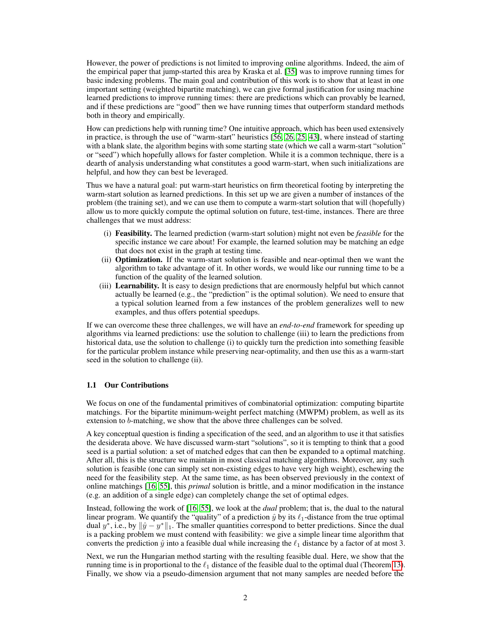However, the power of predictions is not limited to improving online algorithms. Indeed, the aim of the empirical paper that jump-started this area by Kraska et al. [\[35\]](#page-21-2) was to improve running times for basic indexing problems. The main goal and contribution of this work is to show that at least in one important setting (weighted bipartite matching), we can give formal justification for using machine learned predictions to improve running times: there are predictions which can provably be learned, and if these predictions are "good" then we have running times that outperform standard methods both in theory and empirically.

How can predictions help with running time? One intuitive approach, which has been used extensively in practice, is through the use of "warm-start" heuristics [\[56,](#page-23-0) [26,](#page-21-3) [25,](#page-21-4) [43\]](#page-22-5), where instead of starting with a blank slate, the algorithm begins with some starting state (which we call a warm-start "solution" or "seed") which hopefully allows for faster completion. While it is a common technique, there is a dearth of analysis understanding what constitutes a good warm-start, when such initializations are helpful, and how they can best be leveraged.

Thus we have a natural goal: put warm-start heuristics on firm theoretical footing by interpreting the warm-start solution as learned predictions. In this set up we are given a number of instances of the problem (the training set), and we can use them to compute a warm-start solution that will (hopefully) allow us to more quickly compute the optimal solution on future, test-time, instances. There are three challenges that we must address:

- (i) Feasibility. The learned prediction (warm-start solution) might not even be *feasible* for the specific instance we care about! For example, the learned solution may be matching an edge that does not exist in the graph at testing time.
- (ii) Optimization. If the warm-start solution is feasible and near-optimal then we want the algorithm to take advantage of it. In other words, we would like our running time to be a function of the quality of the learned solution.
- (iii) Learnability. It is easy to design predictions that are enormously helpful but which cannot actually be learned (e.g., the "prediction" is the optimal solution). We need to ensure that a typical solution learned from a few instances of the problem generalizes well to new examples, and thus offers potential speedups.

If we can overcome these three challenges, we will have an *end-to-end* framework for speeding up algorithms via learned predictions: use the solution to challenge (iii) to learn the predictions from historical data, use the solution to challenge (i) to quickly turn the prediction into something feasible for the particular problem instance while preserving near-optimality, and then use this as a warm-start seed in the solution to challenge (ii).

#### 1.1 Our Contributions

We focus on one of the fundamental primitives of combinatorial optimization: computing bipartite matchings. For the bipartite minimum-weight perfect matching (MWPM) problem, as well as its extension to b-matching, we show that the above three challenges can be solved.

A key conceptual question is finding a specification of the seed, and an algorithm to use it that satisfies the desiderata above. We have discussed warm-start "solutions", so it is tempting to think that a good seed is a partial solution: a set of matched edges that can then be expanded to a optimal matching. After all, this is the structure we maintain in most classical matching algorithms. Moreover, any such solution is feasible (one can simply set non-existing edges to have very high weight), eschewing the need for the feasibility step. At the same time, as has been observed previously in the context of online matchings [\[16,](#page-20-2) [55\]](#page-23-1), this *primal* solution is brittle, and a minor modification in the instance (e.g. an addition of a single edge) can completely change the set of optimal edges.

Instead, following the work of [\[16,](#page-20-2) [55\]](#page-23-1), we look at the *dual* problem; that is, the dual to the natural linear program. We quantify the "quality" of a prediction  $\hat{y}$  by its  $\ell_1$ -distance from the true optimal dual  $y^*$ , i.e., by  $\|\hat{y} - y^*\|_1$ . The smaller quantities correspond to better predictions. Since the dual is a packing problem we must contend with feasibility: we give a simple linear time algorithm that converts the prediction  $\hat{y}$  into a feasible dual while increasing the  $\ell_1$  distance by a factor of at most 3.

Next, we run the Hungarian method starting with the resulting feasible dual. Here, we show that the running time is in proportional to the  $\ell_1$  distance of the feasible dual to the optimal dual (Theorem [13\)](#page-8-0). Finally, we show via a pseudo-dimension argument that not many samples are needed before the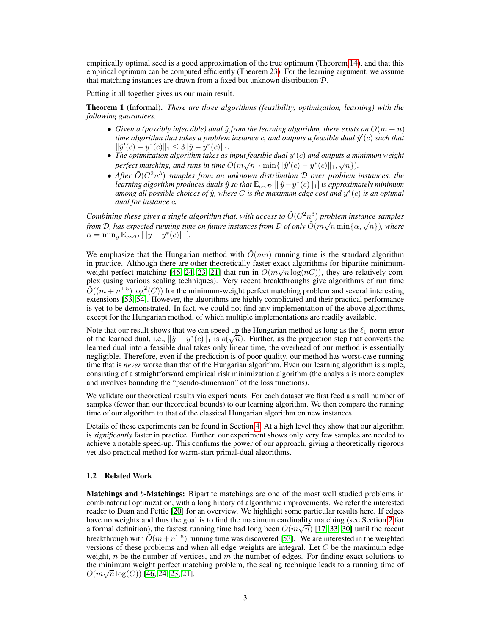empirically optimal seed is a good approximation of the true optimum (Theorem [14\)](#page-9-0), and that this empirical optimum can be computed efficiently (Theorem [23\)](#page-12-0). For the learning argument, we assume that matching instances are drawn from a fixed but unknown distribution  $D$ .

Putting it all together gives us our main result.

<span id="page-2-0"></span>Theorem 1 (Informal). *There are three algorithms (feasibility, optimization, learning) with the following guarantees.*

- Given a (possibly infeasible) dual  $\hat{y}$  from the learning algorithm, there exists an  $O(m + n)$ time algorithm that takes a problem instance c, and outputs a feasible dual  $\hat{y}'(c)$  such that  $\|\hat{y}'(c) - y^*(c)\|_1 \leq 3\|\hat{y} - y^*(c)\|_1.$
- The optimization algorithm takes as input feasible dual  $\hat{y}'(c)$  and outputs a minimum weight perfect matching, and runs in time  $\tilde{O}(m\sqrt{n} \, \cdot \min\{\|\hat{y}'(c) - y^*(c)\|_1, \sqrt{n}\}).$
- After  $O(C^2n^3)$  samples from an unknown distribution D over problem instances, the *learning`algorithm produces duals*  $\hat{y}$  *so that*  $\mathbb{E}_{c\sim\mathcal{D}}$  [ $\|\hat{y}-y^*(c)\|_1]$  *is approximately minimum* among all possible choices of  $\hat{y}$ , where C is the maximum edge cost and  $y^*(c)$  is an optimal *dual for instance* c*.*

Combining these gives a single algorithm that, with access to  $\tilde{O}(C^2n^3)$  problem instance samples *from D, has expected running time on future instances from D of only*  $\tilde{O}(m\sqrt{n} \min{\{\alpha, \sqrt{n}\}})$ *, where from D, has expected running time on future instances from D of only*  $\tilde{O}(m\sqrt{n} \min{\{\alpha, \sqrt{n}\}})$ *, where*  $\alpha = \min_y \mathbb{E}_{c \sim \mathcal{D}} [\|y - y^*(c)\|_1].$ 

We emphasize that the Hungarian method with  $\tilde{O}(mn)$  running time is the standard algorithm in practice. Although there are other theoretically faster exact algorithms for bipartite minimum-weight perfect matching [\[46,](#page-22-6) [24,](#page-21-5) [23,](#page-21-6) [21\]](#page-20-3) that run in  $O(m\sqrt{n}\log(nC))$ , they are relatively complex (using various scaling techniques). Very recent breakthroughs give algorithms of run time  $\tilde{O}((m + n^{1.5}) \log^2(C))$  for the minimum-weight perfect matching problem and several interesting extensions [\[53,](#page-22-7) [54\]](#page-23-2). However, the algorithms are highly complicated and their practical performance is yet to be demonstrated. In fact, we could not find any implementation of the above algorithms, except for the Hungarian method, of which multiple implementations are readily available.

Note that our result shows that we can speed up the Hungarian method as long as the  $\ell_1$ -norm error of the learned dual, i.e.,  $\|\hat{y} - y^*(c)\|_1$  is  $o(\sqrt{n})$ . Further, as the projection step that converts the learned dual into a feasible dual takes only linear time, the overhead of our method is essentially negligible. Therefore, even if the prediction is of poor quality, our method has worst-case running time that is *never* worse than that of the Hungarian algorithm. Even our learning algorithm is simple, consisting of a straightforward empirical risk minimization algorithm (the analysis is more complex and involves bounding the "pseudo-dimension" of the loss functions).

We validate our theoretical results via experiments. For each dataset we first feed a small number of samples (fewer than our theoretical bounds) to our learning algorithm. We then compare the running time of our algorithm to that of the classical Hungarian algorithm on new instances.

Details of these experiments can be found in Section [4.](#page-12-1) At a high level they show that our algorithm is *significantly* faster in practice. Further, our experiment shows only very few samples are needed to achieve a notable speed-up. This confirms the power of our approach, giving a theoretically rigorous yet also practical method for warm-start primal-dual algorithms.

### 1.2 Related Work

Matchings and b-Matchings: Bipartite matchings are one of the most well studied problems in combinatorial optimization, with a long history of algorithmic improvements. We refer the interested reader to Duan and Pettie [\[20\]](#page-20-4) for an overview. We highlight some particular results here. If edges have no weights and thus the goal is to find the maximum cardinality matching (see Section [2](#page-3-0) for a formal definition), the fastest running time had long been  $O(m\sqrt{n})$  [\[17,](#page-20-5) [33,](#page-21-7) [30\]](#page-21-8) until the recent breakthrough with  $\tilde{O}(m+n^{1.5})$  running time was discovered [\[53\]](#page-22-7). We are interested in the weighted versions of these problems and when all edge weights are integral. Let  $C$  be the maximum edge weight, n be the number of vertices, and  $m$  the number of edges. For finding exact solutions to the minimum weight perfect matching problem, the scaling technique leads to a running time of  $O(m\sqrt{n}\log(C))$  [\[46,](#page-22-6) [24,](#page-21-5) [23,](#page-21-6) [21\]](#page-20-3).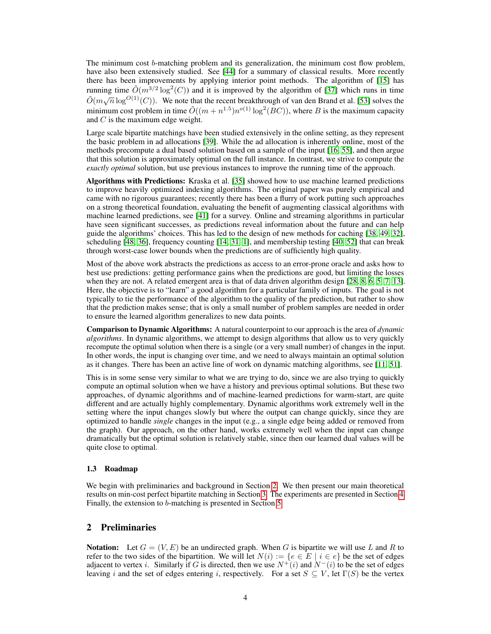The minimum cost b-matching problem and its generalization, the minimum cost flow problem, have also been extensively studied. See [\[44\]](#page-22-8) for a summary of classical results. More recently there has been improvements by applying interior point methods. The algorithm of [\[15\]](#page-20-6) has running time  $\tilde{O}(m^{3/2} \log^2(C))$  and it is improved by the algorithm of [\[37\]](#page-21-9) which runs in time  $\tilde{O}(m\sqrt{n}\log^{O(1)}(C))$ . We note that the recent breakthrough of van den Brand et al. [\[53\]](#page-22-7) solves the minimum cost problem in time  $\tilde{O}((m + n^{1.5})n^{o(1)} \log^2(BC))$ , where B is the maximum capacity and C is the maximum edge weight.

Large scale bipartite matchings have been studied extensively in the online setting, as they represent the basic problem in ad allocations [\[39\]](#page-22-9). While the ad allocation is inherently online, most of the methods precompute a dual based solution based on a sample of the input [\[16,](#page-20-2) [55\]](#page-23-1), and then argue that this solution is approximately optimal on the full instance. In contrast, we strive to compute the *exactly optimal* solution, but use previous instances to improve the running time of the approach.

Algorithms with Predictions: Kraska et al. [\[35\]](#page-21-2) showed how to use machine learned predictions to improve heavily optimized indexing algorithms. The original paper was purely empirical and came with no rigorous guarantees; recently there has been a flurry of work putting such approaches on a strong theoretical foundation, evaluating the benefit of augmenting classical algorithms with machine learned predictions, see [\[41\]](#page-22-1) for a survey. Online and streaming algorithms in particular have seen significant successes, as predictions reveal information about the future and can help guide the algorithms' choices. This has led to the design of new methods for caching [\[38,](#page-22-2) [49,](#page-22-3) [32\]](#page-21-0), scheduling [\[48,](#page-22-4) [36\]](#page-21-1), frequency counting [\[14,](#page-20-7) [31,](#page-21-10) [1\]](#page-19-2), and membership testing [\[40,](#page-22-10) [52\]](#page-22-11) that can break through worst-case lower bounds when the predictions are of sufficiently high quality.

Most of the above work abstracts the predictions as access to an error-prone oracle and asks how to best use predictions: getting performance gains when the predictions are good, but limiting the losses when they are not. A related emergent area is that of data driven algorithm design [\[28,](#page-21-11) [8,](#page-20-8) [6,](#page-19-3) [5,](#page-19-4) [7,](#page-19-5) [13\]](#page-20-9). Here, the objective is to "learn" a good algorithm for a particular family of inputs. The goal is not typically to tie the performance of the algorithm to the quality of the prediction, but rather to show that the prediction makes sense; that is only a small number of problem samples are needed in order to ensure the learned algorithm generalizes to new data points.

Comparison to Dynamic Algorithms: A natural counterpoint to our approach is the area of *dynamic algorithms*. In dynamic algorithms, we attempt to design algorithms that allow us to very quickly recompute the optimal solution when there is a single (or a very small number) of changes in the input. In other words, the input is changing over time, and we need to always maintain an optimal solution as it changes. There has been an active line of work on dynamic matching algorithms, see [\[11,](#page-20-10) [51\]](#page-22-12).

This is in some sense very similar to what we are trying to do, since we are also trying to quickly compute an optimal solution when we have a history and previous optimal solutions. But these two approaches, of dynamic algorithms and of machine-learned predictions for warm-start, are quite different and are actually highly complementary. Dynamic algorithms work extremely well in the setting where the input changes slowly but where the output can change quickly, since they are optimized to handle *single* changes in the input (e.g., a single edge being added or removed from the graph). Our approach, on the other hand, works extremely well when the input can change dramatically but the optimal solution is relatively stable, since then our learned dual values will be quite close to optimal.

### 1.3 Roadmap

We begin with preliminaries and background in Section [2.](#page-3-0) We then present our main theoretical results on min-cost perfect bipartite matching in Section [3.](#page-4-0) The experiments are presented in Section [4.](#page-12-1) Finally, the extension to b-matching is presented in Section [5.](#page-14-0)

# <span id="page-3-0"></span>2 Preliminaries

**Notation:** Let  $G = (V, E)$  be an undirected graph. When G is bipartite we will use L and R to refer to the two sides of the bipartition. We will let  $N(i) := \{e \in E \mid i \in e\}$  be the set of edges adjacent to vertex i. Similarly if G is directed, then we use  $N^+(i)$  and  $N^-(i)$  to be the set of edges leaving i and the set of edges entering i, respectively. For a set  $S \subseteq V$ , let  $\Gamma(S)$  be the vertex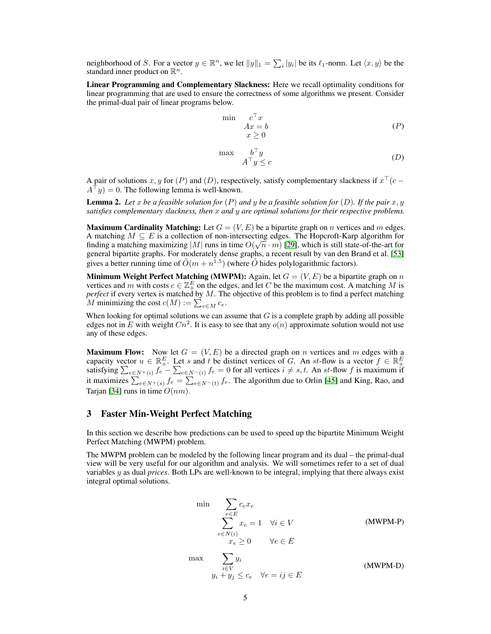neighborhood of S. For a vector  $y \in \mathbb{R}^n$ , we let  $||y||_1 = \sum_i |y_i|$  be its  $\ell_1$ -norm. Let  $\langle x, y \rangle$  be the standard inner product on  $\mathbb{R}^n$ .

Linear Programming and Complementary Slackness: Here we recall optimality conditions for linear programming that are used to ensure the correctness of some algorithms we present. Consider the primal-dual pair of linear programs below.

$$
\min \n\begin{array}{l}\n c^{\top} x \\
Ax = b \\
x \ge 0\n\end{array} \n\tag{P}
$$

$$
\max \t b^\top y\t A^\top y \le c \t (D)
$$

A pair of solutions  $x, y$  for  $(P)$  and  $(D)$ , respectively, satisfy complementary slackness if  $x^{\top}(c A^{\top} y$  = 0. The following lemma is well-known.

<span id="page-4-1"></span>**Lemma 2.** Let x be a feasible solution for  $(P)$  and y be a feasible solution for  $(D)$ . If the pair  $x, y$ *satisfies complementary slackness, then* x *and* y *are optimal solutions for their respective problems.*

**Maximum Cardinality Matching:** Let  $G = (V, E)$  be a bipartite graph on n vertices and m edges. A matching  $M \subseteq E$  is a collection of non-intersecting edges. The Hopcroft-Karp algorithm for finding a matching maximizing |M| runs in time  $O(\sqrt{n} \cdot m)$  [\[29\]](#page-21-12), which is still state-of-the-art for general bipartite graphs. For moderately dense graphs, a recent result by van den Brand et al. [\[53\]](#page-22-7) gives a better running time of  $\tilde{O}(m + n^{1.5})$  (where  $\tilde{O}$  hides polylogarithmic factors).

**Minimum Weight Perfect Matching (MWPM):** Again, let  $G = (V, E)$  be a bipartite graph on n vertices and m with costs  $c \in \mathbb{Z}_+^E$  on the edges, and let C be the maximum cost. A matching M is *perfect* if every vertex is matched by M. The objective of this problem is to find a perfect matching M minimizing the cost  $c(M) := \sum_{e \in M} c_e$ .

When looking for optimal solutions we can assume that  $G$  is a complete graph by adding all possible edges not in E with weight  $Cn^2$ . It is easy to see that any  $o(n)$  approximate solution would not use any of these edges.

**Maximum Flow:** Now let  $G = (V, E)$  be a directed graph on n vertices and m edges with a capacity vector  $u \in \mathbb{R}_{+}^{E}$ . Let s and t be distinct vertices of G. An st-flow is a vector  $f \in \mathbb{R}_{+}^{E}$  satisfying  $\sum_{e \in N^{+}(i)} f_e - \sum_{e \in N^{-}(i)} f_e = 0$  for all vertices  $i \neq s, t$ . An st-flow f is maximum if it maximizes  $\sum_{e \in N^+(s)} f_e = \sum_{e \in N^-(t)} f_e$ . The algorithm due to Orlin [\[45\]](#page-22-13) and King, Rao, and Tarjan [\[34\]](#page-21-13) runs in time  $O(nm)$ .

# <span id="page-4-0"></span>3 Faster Min-Weight Perfect Matching

In this section we describe how predictions can be used to speed up the bipartite Minimum Weight Perfect Matching (MWPM) problem.

<span id="page-4-2"></span>The MWPM problem can be modeled by the following linear program and its dual – the primal-dual view will be very useful for our algorithm and analysis. We will sometimes refer to a set of dual variables y as dual *prices*. Both LPs are well-known to be integral, implying that there always exist integral optimal solutions.

$$
\min \sum_{e \in E} c_e x_e
$$
\n
$$
\sum_{e \in N(i)} x_e = 1 \quad \forall i \in V \quad \text{(MWPM-P)}
$$
\n
$$
x_e \ge 0 \quad \forall e \in E
$$
\n
$$
\max \sum_{\substack{i \in V \\ y_i + y_j \le c_e}} y_i \quad \text{(MWPM-D)}
$$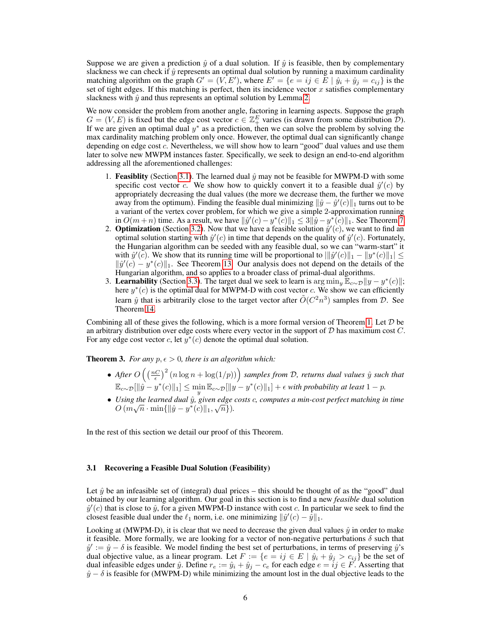Suppose we are given a prediction  $\hat{y}$  of a dual solution. If  $\hat{y}$  is feasible, then by complementary slackness we can check if  $\hat{y}$  represents an optimal dual solution by running a maximum cardinality matching algorithm on the graph  $G' = (V, E')$ , where  $E' = \{e = ij \in E \mid \hat{y}_i + \hat{y}_j = c_{ij}\}\$ is the set of tight edges. If this matching is perfect, then its incidence vector  $x$  satisfies complementary slackness with  $\hat{y}$  and thus represents an optimal solution by Lemma [2.](#page-4-1)

We now consider the problem from another angle, factoring in learning aspects. Suppose the graph  $G = (V, E)$  is fixed but the edge cost vector  $c \in \mathbb{Z}_+^E$  varies (is drawn from some distribution  $\mathcal{D}$ ). If we are given an optimal dual  $y^*$  as a prediction, then we can solve the problem by solving the max cardinality matching problem only once. However, the optimal dual can significantly change depending on edge cost c. Nevertheless, we will show how to learn "good" dual values and use them later to solve new MWPM instances faster. Specifically, we seek to design an end-to-end algorithm addressing all the aforementioned challenges:

- 1. Feasiblity (Section [3.1\)](#page-5-0). The learned dual  $\hat{y}$  may not be feasible for MWPM-D with some specific cost vector c. We show how to quickly convert it to a feasible dual  $\hat{y}'(c)$  by appropriately decreasing the dual values (the more we decrease them, the further we move away from the optimum). Finding the feasible dual minimizing  $\|\hat{y} - \hat{y}'(c)\|_1$  turns out to be a variant of the vertex cover problem, for which we give a simple 2-approximation running in  $O(m+n)$  time. As a result, we have  $\|\hat{y}'(c) - y^*(c)\|_1 \leq 3\|\hat{y} - y^*(c)\|_1$ . See Theorem [7.](#page-7-0)
- 2. **Optimization** (Section [3.2\)](#page-7-1). Now that we have a feasible solution  $\hat{y}'(c)$ , we want to find an optimal solution starting with  $\hat{y}'(c)$  in time that depends on the quality of  $\hat{y}'(c)$ . Fortunately, the Hungarian algorithm can be seeded with any feasible dual, so we can "warm-start" it with  $\hat{y}'(c)$ . We show that its running time will be proportional to  $\|\hat{y}'(c)\|_1 - \|y^*(c)\|_1 \le$  $\|\hat{y}'(c) - y^*(c)\|_1$ . See Theorem [13.](#page-8-0) Our analysis does not depend on the details of the Hungarian algorithm, and so applies to a broader class of primal-dual algorithms.
- 3. Learnability (Section [3.3\)](#page-8-1). The target dual we seek to learn is  $\arg\min_y \mathbb{E}_{c\sim\mathcal{D}} ||y y^*(c)||$ ; here  $y^*(c)$  is the optimal dual for MWPM-D with cost vector c. We show we can efficiently learn  $\hat{y}$  that is arbitrarily close to the target vector after  $\tilde{O}(C^2n^3)$  samples from D. See Theorem [14.](#page-9-0)

Combining all of these gives the following, which is a more formal version of Theorem [1.](#page-2-0) Let  $D$  be an arbitrary distribution over edge costs where every vector in the support of  $D$  has maximum cost  $C$ . For any edge cost vector c, let  $y^*(c)$  denote the optimal dual solution.

<span id="page-5-1"></span>**Theorem 3.** *For any*  $p, \epsilon > 0$ *, there is an algorithm which:* 

- After  $O\left(\left(\frac{nC}{\epsilon}\right)^2(n\log n + \log(1/p))\right)$  samples from D, returns dual values  $\hat{y}$  such that  $\mathbb{E}_{c\sim\mathcal{D}}[\|\hat{y}-y^*(c)\|_1]\leq \min_{y}\mathbb{E}_{c\sim\mathcal{D}}[\|y-y^*(c)\|_1]+\epsilon$  with probability at least  $1-p$ .
- *Using the learned dual*  $\hat{y}$ *, given edge costs c, computes a min-cost perfect matching in time*  $O(m\sqrt{n} \cdot \min\{\|\hat{y} - y^*(c)\|_1, \sqrt{n}\}).$

In the rest of this section we detail our proof of this Theorem.

#### <span id="page-5-0"></span>3.1 Recovering a Feasible Dual Solution (Feasibility)

Let  $\hat{y}$  be an infeasible set of (integral) dual prices – this should be thought of as the "good" dual obtained by our learning algorithm. Our goal in this section is to find a new *feasible* dual solution  $\hat{y}'(c)$  that is close to  $\hat{y}$ , for a given MWPM-D instance with cost c. In particular we seek to find the closest feasible dual under the  $\ell_1$  norm, i.e. one minimizing  $\|\hat{y}'(c) - \hat{y}\|_1$ .

Looking at (MWPM-D), it is clear that we need to decrease the given dual values  $\hat{y}$  in order to make it feasible. More formally, we are looking for a vector of non-negative perturbations  $\delta$  such that  $\hat{y}' := \hat{y} - \delta$  is feasible. We model finding the best set of perturbations, in terms of preserving  $\hat{y}$ 's dual objective value, as a linear program. Let  $F := \{e = ij \in E \mid \hat{y}_i + \hat{y}_j > c_{ij}\}\$  be the set of dual infeasible edges under  $\hat{y}$ . Define  $r_e := \hat{y}_i + \hat{y}_j - c_e$  for each edge  $e = ij \in F$ . Asserting that  $\hat{y} - \delta$  is feasible for (MWPM-D) while minimizing the amount lost in the dual objective leads to the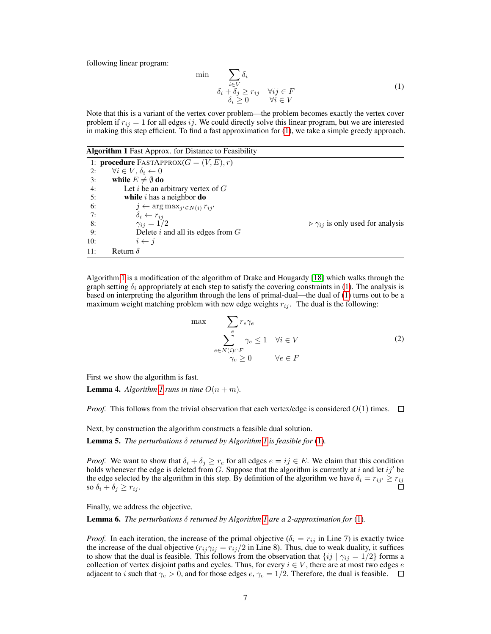following linear program:

$$
\min \sum_{\substack{i \in V \\ \delta_i + \delta_j \ge r_{ij} \\ \delta_i \ge 0}} \delta_i
$$
\n
$$
\forall i j \in F
$$
\n
$$
(1)
$$

Note that this is a variant of the vertex cover problem—the problem becomes exactly the vertex cover problem if  $r_{ij} = 1$  for all edges ij. We could directly solve this linear program, but we are interested in making this step efficient. To find a fast approximation for [\(1\)](#page-4-2), we take a simple greedy approach.

#### Algorithm 1 Fast Approx. for Distance to Feasibility

<span id="page-6-0"></span>

|     | 1: <b>procedure</b> FASTAPPROX $(G = (V, E), r)$ |                                                        |
|-----|--------------------------------------------------|--------------------------------------------------------|
| 2:  | $\forall i \in V, \delta_i \leftarrow 0$         |                                                        |
| 3:  | while $E \neq \emptyset$ do                      |                                                        |
| 4:  | Let i be an arbitrary vertex of $G$              |                                                        |
| 5:  | while $i$ has a neighbor do                      |                                                        |
| 6:  | $j \leftarrow \arg \max_{i' \in N(i)} r_{ij'}$   |                                                        |
| 7:  | $\delta_i \leftarrow r_{ii}$                     |                                                        |
| 8:  | $\gamma_{ii} = 1/2$                              | $\triangleright \gamma_{ij}$ is only used for analysis |
| 9:  | Delete $i$ and all its edges from $G$            |                                                        |
| 10: | $i \leftarrow i$                                 |                                                        |
| 11: | Return $\delta$                                  |                                                        |

Algorithm [1](#page-6-0) is a modification of the algorithm of Drake and Hougardy [\[18\]](#page-20-11) which walks through the graph setting  $\delta_i$  appropriately at each step to satisfy the covering constraints in [\(1\)](#page-4-2). The analysis is based on interpreting the algorithm through the lens of primal-dual—the dual of [\(1\)](#page-4-2) turns out to be a maximum weight matching problem with new edge weights  $r_{ij}$ . The dual is the following:

$$
\max \sum_{e \in N(i) \cap F} r_e \gamma_e
$$
\n
$$
\sum_{e \in N(i) \cap F} \gamma_e \le 1 \quad \forall i \in V
$$
\n
$$
\gamma_e \ge 0 \qquad \forall e \in F
$$
\n(2)

First we show the algorithm is fast.

**Lemma 4.** Algorithm [1](#page-6-0) runs in time  $O(n + m)$ .

*Proof.* This follows from the trivial observation that each vertex/edge is considered  $O(1)$  times.  $\square$ 

Next, by construction the algorithm constructs a feasible dual solution.

**Lemma 5.** *The perturbations*  $\delta$  *returned by Algorithm [1](#page-6-0) is feasible for* [\(1\)](#page-4-2)*.* 

*Proof.* We want to show that  $\delta_i + \delta_j \ge r_e$  for all edges  $e = ij \in E$ . We claim that this condition holds whenever the edge is deleted from G. Suppose that the algorithm is currently at i and let  $ij'$  be the edge selected by the algorithm in this step. By definition of the algorithm we have  $\delta_i = r_{ij} \ge r_{ij}$ so  $\delta_i + \delta_j \geq r_{ij}$ .

Finally, we address the objective.

Lemma 6. *The perturbations* δ *returned by Algorithm [1](#page-6-0) are a 2-approximation for* [\(1\)](#page-4-2)*.*

*Proof.* In each iteration, the increase of the primal objective ( $\delta_i = r_{ij}$  in Line 7) is exactly twice the increase of the dual objective  $(r_{ij}\gamma_{ij} = r_{ij}/2$  in Line 8). Thus, due to weak duality, it suffices to show that the dual is feasible. This follows from the observation that  $\{ij \mid \gamma_{ij} = 1/2\}$  forms a collection of vertex disjoint paths and cycles. Thus, for every  $i \in V$ , there are at most two edges e adjacent to i such that  $\gamma_e > 0$ , and for those edges  $e, \gamma_e = 1/2$ . Therefore, the dual is feasible.  $\square$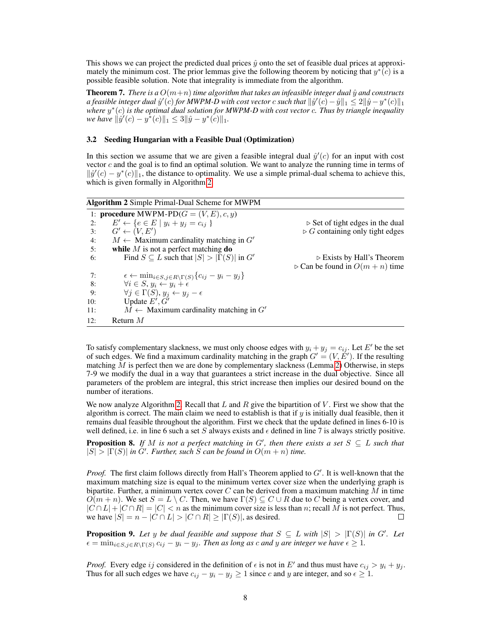This shows we can project the predicted dual prices  $\hat{y}$  onto the set of feasible dual prices at approximately the minimum cost. The prior lemmas give the following theorem by noticing that  $y^*(c)$  is a possible feasible solution. Note that integrality is immediate from the algorithm.

<span id="page-7-0"></span>**Theorem 7.** *There is a*  $O(m+n)$  *time algorithm that takes an infeasible integer dual*  $\hat{y}$  *and constructs* a feasible integer dual  $\hat y'(\hat c)$  for MWPM-D with cost vector  $c$  such that  $\|\hat y'(\hat c)-\hat y\|_1\leq 2\|\hat y-y^*(c)\|_1$ *where* y ∗ (c) *is the optimal dual solution for MWPM-D with cost vector* c*. Thus by triangle inequality*  $we \; have \; \|\hat{y}'(c) - y^*(c)\|_1 \leq 3 \|\hat{y} - y^*(c)\|_1.$ 

#### <span id="page-7-1"></span>3.2 Seeding Hungarian with a Feasible Dual (Optimization)

In this section we assume that we are given a feasible integral dual  $\hat{y}'(c)$  for an input with cost vector  $c$  and the goal is to find an optimal solution. We want to analyze the running time in terms of  $\|\hat{y}'(c) - y^*(c)\|_1$ , the distance to optimality. We use a simple primal-dual schema to achieve this, which is given formally in Algorithm [2.](#page-7-2)

<span id="page-7-2"></span>

| <b>Algorithm 2</b> Simple Primal-Dual Scheme for MWPM |                                                                                           |                                                 |  |  |  |  |
|-------------------------------------------------------|-------------------------------------------------------------------------------------------|-------------------------------------------------|--|--|--|--|
|                                                       | 1: <b>procedure</b> MWPM-PD $(G = (V, E), c, y)$                                          |                                                 |  |  |  |  |
| 2:                                                    | $E' \leftarrow \{e \in E \mid y_i + y_j = c_{ij}\}\$                                      | $\triangleright$ Set of tight edges in the dual |  |  |  |  |
| 3:                                                    | $G' \leftarrow (V, E')$                                                                   | $\triangleright$ G containing only tight edges  |  |  |  |  |
| 4:                                                    | $M \leftarrow$ Maximum cardinality matching in G'                                         |                                                 |  |  |  |  |
| 5:                                                    | while $M$ is not a perfect matching <b>do</b>                                             |                                                 |  |  |  |  |
| 6:                                                    | Find $S \subseteq L$ such that $ S  >  \Gamma(S) $ in $G'$                                | $\triangleright$ Exists by Hall's Theorem       |  |  |  |  |
|                                                       |                                                                                           | $\triangleright$ Can be found in $O(m+n)$ time  |  |  |  |  |
| 7:                                                    | $\epsilon \leftarrow \min_{i \in S, j \in R \backslash \Gamma(S)} \{c_{ij} - y_i - y_j\}$ |                                                 |  |  |  |  |
| 8:                                                    | $\forall i \in S, y_i \leftarrow y_i + \epsilon$                                          |                                                 |  |  |  |  |
| 9:                                                    | $\forall j \in \Gamma(S), y_i \leftarrow y_i - \epsilon$                                  |                                                 |  |  |  |  |
| 10:                                                   | Update $E', G'$                                                                           |                                                 |  |  |  |  |
| 11:                                                   | $M \leftarrow$ Maximum cardinality matching in $G'$                                       |                                                 |  |  |  |  |
| 12:                                                   | Return $M$                                                                                |                                                 |  |  |  |  |

To satisfy complementary slackness, we must only choose edges with  $y_i + y_j = c_{ij}$ . Let E' be the set of such edges. We find a maximum cardinality matching in the graph  $G' = (V, E')$ . If the resulting matching  $M$  is perfect then we are done by complementary slackness (Lemma [2\)](#page-4-1) Otherwise, in steps 7-9 we modify the dual in a way that guarantees a strict increase in the dual objective. Since all parameters of the problem are integral, this strict increase then implies our desired bound on the number of iterations.

We now analyze Algorithm [2.](#page-7-2) Recall that  $L$  and  $R$  give the bipartition of  $V$ . First we show that the algorithm is correct. The main claim we need to establish is that if  $y$  is initially dual feasible, then it remains dual feasible throughout the algorithm. First we check that the update defined in lines 6-10 is well defined, i.e. in line 6 such a set S always exists and  $\epsilon$  defined in line 7 is always strictly positive.

<span id="page-7-3"></span>**Proposition 8.** If M is not a perfect matching in G', then there exists a set  $S \subseteq L$  such that  $|S| > |\Gamma(S)|$  *in G'. Further, such S can be found in*  $O(m + n)$  *time.* 

*Proof.* The first claim follows directly from Hall's Theorem applied to  $G'$ . It is well-known that the maximum matching size is equal to the minimum vertex cover size when the underlying graph is bipartite. Further, a minimum vertex cover  $C$  can be derived from a maximum matching  $M$  in time  $O(m + n)$ . We set  $S = L \setminus C$ . Then, we have  $\Gamma(S) \subseteq C \cup R$  due to C being a vertex cover, and  $|C \cap L| + |C \cap R| = |C| < n$  as the minimum cover size is less than n; recall M is not perfect. Thus, we have  $|S| = n - |C \cap L| > |C \cap R| \ge |\Gamma(S)|$ , as desired.  $\Box$ 

<span id="page-7-4"></span>**Proposition 9.** Let y be dual feasible and suppose that  $S \subseteq L$  with  $|S| > |\Gamma(S)|$  in G'. Let  $\epsilon = \min_{i \in S, j \in R \setminus \Gamma(S)} c_{ij} - y_i - y_j$ *. Then as long as c and y are integer we have*  $\epsilon \geq 1$ *.* 

*Proof.* Every edge ij considered in the definition of  $\epsilon$  is not in E' and thus must have  $c_{ij} > y_i + y_j$ . Thus for all such edges we have  $c_{ij} - y_i - y_j \ge 1$  since c and y are integer, and so  $\epsilon \ge 1$ .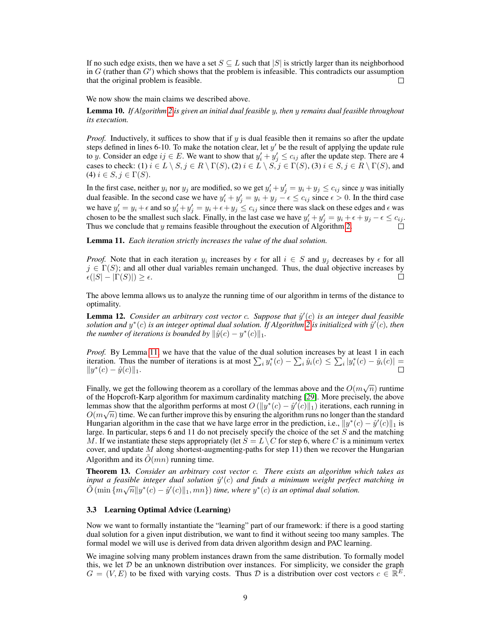If no such edge exists, then we have a set  $S \subseteq L$  such that  $|S|$  is strictly larger than its neighborhood in  $G$  (rather than  $G'$ ) which shows that the problem is infeasible. This contradicts our assumption that the original problem is feasible.  $\Box$ 

We now show the main claims we described above.

Lemma 10. *If Algorithm [2](#page-7-2) is given an initial dual feasible* y*, then* y *remains dual feasible throughout its execution.*

*Proof.* Inductively, it suffices to show that if y is dual feasible then it remains so after the update steps defined in lines 6-10. To make the notation clear, let  $y'$  be the result of applying the update rule to y. Consider an edge  $ij \in E$ . We want to show that  $y'_i + y'_j \le c_{ij}$  after the update step. There are 4 cases to check: (1)  $i \in L \setminus S, j \in R \setminus \Gamma(S),$  (2)  $i \in L \setminus S, j \in \Gamma(S),$  (3)  $i \in S, j \in R \setminus \Gamma(S),$  and (4)  $i \in S, j \in \Gamma(S)$ .

In the first case, neither  $y_i$  nor  $y_j$  are modified, so we get  $y'_i + y'_j = y_i + y_j \le c_{ij}$  since y was initially dual feasible. In the second case we have  $y'_i + y'_j = y_i + y_j - \epsilon \le c_{ij}$  since  $\epsilon > 0$ . In the third case we have  $y_i' = y_i + \epsilon$  and so  $y_i' + y_j' = y_i + \epsilon + y_j \le c_{ij}$  since there was slack on these edges and  $\epsilon$  was chosen to be the smallest such slack. Finally, in the last case we have  $y'_i + y'_j = y_i + \epsilon + y_j - \epsilon \le c_{ij}$ . Thus we conclude that  $y$  remains feasible throughout the execution of Algorithm [2.](#page-7-2)

<span id="page-8-2"></span>Lemma 11. *Each iteration strictly increases the value of the dual solution.*

*Proof.* Note that in each iteration  $y_i$  increases by  $\epsilon$  for all  $i \in S$  and  $y_j$  decreases by  $\epsilon$  for all  $j \in \Gamma(S)$ ; and all other dual variables remain unchanged. Thus, the dual objective increases by  $\epsilon(|S| - |\Gamma(S)|) \geq \epsilon.$  $\Box$ 

The above lemma allows us to analyze the running time of our algorithm in terms of the distance to optimality.

**Lemma 12.** Consider an arbitrary cost vector c. Suppose that  $\hat{y}'(c)$  is an integer dual feasible *solution and* y ∗ (c) *is an integer optimal dual solution. If Algorithm [2](#page-7-2) is initialized with* yˆ 0 (c)*, then the number of iterations is bounded by*  $\|\hat{y}(c) - y^*(c)\|_1$ .

*Proof.* By Lemma [11,](#page-8-2) we have that the value of the dual solution increases by at least 1 in each iteration. Thus the number of iterations is at most  $\sum_i y_i^*(c) - \sum_i \hat{y}_i(c) \le \sum_i |y_i^*(c) - \hat{y}_i(c)| =$  $||y^*(c) - \hat{y}(c)||_1.$ 

Finally, we get the following theorem as a corollary of the lemmas above and the  $O(m\sqrt{n})$  runtime of the Hopcroft-Karp algorithm for maximum cardinality matching [\[29\]](#page-21-12). More precisely, the above lemmas show that the algorithm performs at most  $O(||y^*(c) - \hat{y}'(c)||_1)$  iterations, each running in  $O(m\sqrt{n})$  time. We can further improve this by ensuring the algorithm runs no longer than the standard Hungarian algorithm in the case that we have large error in the prediction, i.e.,  $||y^*(c) - \hat{y}'(c)||_1$  is large. In particular, steps 6 and 11 do not precisely specify the choice of the set  $S$  and the matching M. If we instantiate these steps appropriately (let  $S = L \setminus C$  for step 6, where C is a minimum vertex cover, and update  $M$  along shortest-augmenting-paths for step 11) then we recover the Hungarian Algorithm and its  $O(mn)$  running time.

<span id="page-8-0"></span>Theorem 13. *Consider an arbitrary cost vector* c*. There exists an algorithm which takes as input a feasible integer dual solution*  $\hat{y}'(c)$  *and finds a minimum weight perfect matching in*  $\tilde{O}(\min \{m\sqrt{n}||y^*(c) - \hat{y}'(c)||_1, mn\})$  *time, where*  $y^*(c)$  *is an optimal dual solution.* 

#### <span id="page-8-1"></span>3.3 Learning Optimal Advice (Learning)

Now we want to formally instantiate the "learning" part of our framework: if there is a good starting dual solution for a given input distribution, we want to find it without seeing too many samples. The formal model we will use is derived from data driven algorithm design and PAC learning.

We imagine solving many problem instances drawn from the same distribution. To formally model this, we let  $D$  be an unknown distribution over instances. For simplicity, we consider the graph  $G = (V, E)$  to be fixed with varying costs. Thus D is a distribution over cost vectors  $c \in \mathbb{R}^E$ .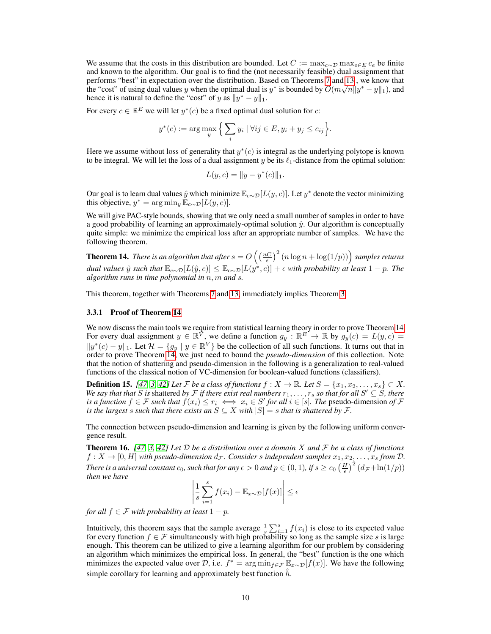We assume that the costs in this distribution are bounded. Let  $C := \max_{c \sim \mathcal{D}} \max_{e \in E} c_e$  be finite and known to the algorithm. Our goal is to find the (not necessarily feasible) dual assignment that performs "best" in expectation over the distribution. Based on Theorems [7](#page-7-0) and [13](#page-8-0), we know that the "cost" of using dual values y when the optimal dual is  $y^*$  is bounded by  $O(m\sqrt{n}||y^* - y||_1)$ , and hence it is natural to define the "cost" of y as  $||y^* - y||_1$ .

For every  $c \in \mathbb{R}^E$  we will let  $y^*(c)$  be a fixed optimal dual solution for  $c$ :

$$
y^*(c) := \arg\max_y \Big\{ \sum_i y_i \mid \forall ij \in E, y_i + y_j \le c_{ij} \Big\}.
$$

Here we assume without loss of generality that  $y^*(c)$  is integral as the underlying polytope is known to be integral. We will let the loss of a dual assignment y be its  $\ell_1$ -distance from the optimal solution:

$$
L(y, c) = ||y - y^*(c)||_1.
$$

Our goal is to learn dual values  $\hat{y}$  which minimize  $\mathbb{E}_{c\sim\mathcal{D}}[L(y,c)]$ . Let  $y^*$  denote the vector minimizing this objective,  $y^* = \arg \min_y \mathbb{E}_{c \sim \mathcal{D}}[L(y, c)].$ 

We will give PAC-style bounds, showing that we only need a small number of samples in order to have a good probability of learning an approximately-optimal solution  $\hat{y}$ . Our algorithm is conceptually quite simple: we minimize the empirical loss after an appropriate number of samples. We have the following theorem.

<span id="page-9-0"></span>**Theorem 14.** *There is an algorithm that after*  $s = O\left(\left(\frac{nC}{\epsilon}\right)^2(n\log n + \log(1/p))\right)$  *samples returns*  $d$ ual values  $\hat{y}$  such that  $\mathbb{E}_{c\sim\mathcal{D}}[L(\hat{y},c)]\leq\mathbb{E}_{c\sim\mathcal{D}}[L(y^*,c)]+\epsilon$  with probability at least  $1-p$ . The *algorithm runs in time polynomial in* n, m *and* s*.*

This theorem, together with Theorems [7](#page-7-0) and [13,](#page-8-0) immediately implies Theorem [3.](#page-5-1)

#### 3.3.1 Proof of Theorem [14](#page-9-0)

We now discuss the main tools we require from statistical learning theory in order to prove Theorem [14.](#page-9-0) For every dual assignment  $y \in \mathbb{R}^{\mathcal{V}}$ , we define a function  $g_y : \mathbb{R}^{E'} \to \mathbb{R}$  by  $g_y(c) = L(y, c)$  $||y^*(c) - y||_1$ . Let  $\mathcal{H} = \{g_y | y \in \mathbb{R}^V\}$  be the collection of all such functions. It turns out that in order to prove Theorem [14,](#page-9-0) we just need to bound the *pseudo-dimension* of this collection. Note that the notion of shattering and pseudo-dimension in the following is a generalization to real-valued functions of the classical notion of VC-dimension for boolean-valued functions (classifiers).

**Definition 15.** *[\[47,](#page-22-14) [3,](#page-19-6) [42\]](#page-22-15) Let*  $\mathcal{F}$  *be a class of functions*  $f : X \to \mathbb{R}$ *. Let*  $S = \{x_1, x_2, \ldots, x_s\} \subset X$ *.* We say that that S is shattered by F if there exist real numbers  $r_1, \ldots, r_s$  so that for all  $S' \subseteq S$ , there *is a function*  $f \in \mathcal{F}$  *such that*  $f(x_i) \leq r_i \iff x_i \in S'$  *for all*  $i \in [s]$ *. The* pseudo-dimension *of*  $\mathcal{F}$ *is the largest*  $s$  *such that there exists an*  $S \subseteq X$  *with*  $|S| = s$  *that is shattered by F.* 

The connection between pseudo-dimension and learning is given by the following uniform convergence result.

<span id="page-9-1"></span>Theorem 16. *[\[47,](#page-22-14) [3,](#page-19-6) [42\]](#page-22-15) Let* D *be a distribution over a domain* X *and* F *be a class of functions*  $f: X \to [0, H]$  with pseudo-dimension  $d_{\mathcal{F}}$ . Consider s independent samples  $x_1, x_2, \ldots, x_s$  from  $\mathcal{D}$ . *There is a universal constant*  $c_0$ *, such that for any*  $\epsilon > 0$  *and*  $p \in (0,1)$ *, if*  $s \ge c_0 \left(\frac{H}{\epsilon}\right)^2 (d_{\mathcal{F}} + \ln(1/p))$ *then we have*

$$
\left|\frac{1}{s}\sum_{i=1}^{s}f(x_i)-\mathbb{E}_{x\sim\mathcal{D}}[f(x)]\right|\leq\epsilon
$$

*for all*  $f \in \mathcal{F}$  *with probability at least*  $1 - p$ *.* 

Intuitively, this theorem says that the sample average  $\frac{1}{s}\sum_{i=1}^{s} f(x_i)$  is close to its expected value for every function  $f \in \mathcal{F}$  simultaneously with high probability so long as the sample size s is large enough. This theorem can be utilized to give a learning algorithm for our problem by considering an algorithm which minimizes the empirical loss. In general, the "best" function is the one which minimizes the expected value over  $\mathcal{D}$ , i.e.  $f^* = \arg \min_{f \in \mathcal{F}} \mathbb{E}_{x \sim \mathcal{D}}[f(x)]$ . We have the following simple corollary for learning and approximately best function  $\hat{h}$ .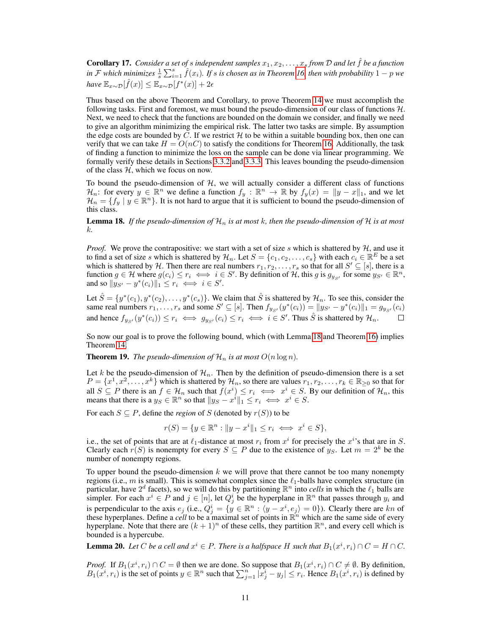<span id="page-10-3"></span>**Corollary 17.** *Consider a set of s independent samples*  $x_1, x_2, \ldots, x_s$  *from*  $D$  *and let*  $\hat{f}$  *be a function*  $\int$ *in*  $\mathcal F$  which minimizes  $\frac{1}{s}\sum_{i=1}^s \hat f(x_i)$ . If s is chosen as in Theorem [16,](#page-9-1) then with probability  $1-p$  we  $have \ \mathbb{E}_{x \sim \mathcal{D}}[\hat{f}(x)] \leq \mathbb{E}_{x \sim \mathcal{D}}[f^*(x)] + 2\epsilon$ 

Thus based on the above Theorem and Corollary, to prove Theorem [14](#page-9-0) we must accomplish the following tasks. First and foremost, we must bound the pseudo-dimension of our class of functions  $H$ . Next, we need to check that the functions are bounded on the domain we consider, and finally we need to give an algorithm minimizing the empirical risk. The latter two tasks are simple. By assumption the edge costs are bounded by  $C$ . If we restrict  $H$  to be within a suitable bounding box, then one can verify that we can take  $H = O(nC)$  to satisfy the conditions for Theorem [16.](#page-9-1) Additionally, the task of finding a function to minimize the loss on the sample can be done via linear programming. We formally verify these details in Sections [3.3.2](#page-11-0) and [3.3.3.](#page-11-1) This leaves bounding the pseudo-dimension of the class  $H$ , which we focus on now.

To bound the pseudo-dimension of  $H$ , we will actually consider a different class of functions  $\mathcal{H}_n$ : for every  $y \in \mathbb{R}^n$  we define a function  $f_y : \mathbb{R}^n \to \mathbb{R}$  by  $f_y(x) = ||y - x||_1$ , and we let  $\mathcal{H}_n = \{f_y \mid y \in \mathbb{R}^n\}$ . It is not hard to argue that it is sufficient to bound the pseudo-dimension of this class.

<span id="page-10-0"></span>**Lemma 18.** If the pseudo-dimension of  $\mathcal{H}_n$  is at most k, then the pseudo-dimension of H is at most k*.*

*Proof.* We prove the contrapositive: we start with a set of size s which is shattered by  $H$ , and use it to find a set of size s which is shattered by  $\mathcal{H}_n$ . Let  $S = \{c_1, c_2, \dots, c_s\}$  with each  $c_i \in \mathbb{R}^E$  be a set which is shattered by H. Then there are real numbers  $r_1, r_2, \ldots, r_s$  so that for all  $S' \subseteq [s]$ , there is a function  $g \in \mathcal{H}$  where  $g(c_i) \leq r_i \iff i \in S'$ . By definition of  $\mathcal{H}$ , this g is  $g_{y_{S'}}$  for some  $y_{S'} \in \mathbb{R}^n$ , and so  $||y_{S'} - y^*(c_i)||_1 \leq r_i \iff i \in S'.$ 

Let  $\hat{S} = \{y^*(c_1), y^*(c_2), \ldots, y^*(c_s)\}\$ . We claim that  $\hat{S}$  is shattered by  $\mathcal{H}_n$ . To see this, consider the same real numbers  $r_1, \ldots, r_s$  and some  $S' \subseteq [s]$ . Then  $f_{y_{S'}}(y^*(c_i)) = ||y_{S'} - y^*(c_i)||_1 = g_{y_{S'}}(c_i)$ and hence  $f_{y_{S'}}(y^*(c_i)) \leq r_i \iff g_{y_{S'}}(c_i) \leq r_i \iff i \in S'.$  Thus  $\hat{S}$  is shattered by  $\mathcal{H}_n$ .  $\Box$ 

So now our goal is to prove the following bound, which (with Lemma [18](#page-10-0) and Theorem [16\)](#page-9-1) implies Theorem [14.](#page-9-0)

<span id="page-10-2"></span>**Theorem 19.** *The pseudo-dimension of*  $\mathcal{H}_n$  *is at most*  $O(n \log n)$ *.* 

Let k be the pseudo-dimension of  $\mathcal{H}_n$ . Then by the definition of pseudo-dimension there is a set  $P = \{x^1, x^2, \ldots, x^k\}$  which is shattered by  $\mathcal{H}_n$ , so there are values  $r_1, r_2, \ldots, r_k \in \mathbb{R}_{\geq 0}$  so that for all  $S \subseteq P$  there is an  $f \in \mathcal{H}_n$  such that  $f(x^i) \leq r_i \iff x^i \in S$ . By our definition of  $\mathcal{H}_n$ , this means that there is a  $y_S \in \mathbb{R}^n$  so that  $||y_S - x^i||_1 \leq r_i \iff x^i \in S$ .

For each  $S \subseteq P$ , define the *region* of S (denoted by  $r(S)$ ) to be

 $r(S) = \{y \in \mathbb{R}^n : ||y - x^i||_1 \le r_i \iff x^i \in S\},\$ 

i.e., the set of points that are at  $\ell_1$ -distance at most  $r_i$  from  $x^i$  for precisely the  $x^i$ 's that are in S. Clearly each  $r(S)$  is nonempty for every  $S \subseteq P$  due to the existence of  $y_S$ . Let  $m = 2^k$  be the number of nonempty regions.

To upper bound the pseudo-dimension  $k$  we will prove that there cannot be too many nonempty regions (i.e.,  $m$  is small). This is somewhat complex since the  $\ell_1$ -balls have complex structure (in particular, have  $2^d$  facets), so we will do this by partitioning  $\mathbb{R}^n$  into *cells* in which the  $\ell_1$  balls are simpler. For each  $x^i \in P$  and  $j \in [n]$ , let  $Q_j^i$  be the hyperplane in  $\mathbb{R}^n$  that passes through  $y_i$  and is perpendicular to the axis  $e_j$  (i.e.,  $Q_j^i = \{y \in \mathbb{R}^n : \langle y - x^i, e_j \rangle = 0\}$ ). Clearly there are kn of these hyperplanes. Define a *cell* to be a maximal set of points in  $\mathbb{R}^n$  which are the same side of every hyperplane. Note that there are  $(k + 1)^n$  of these cells, they partition  $\mathbb{R}^n$ , and every cell which is bounded is a hypercube.

<span id="page-10-1"></span>**Lemma 20.** Let C be a cell and  $x^i \in P$ . There is a halfspace H such that  $B_1(x^i, r_i) \cap C = H \cap C$ .

*Proof.* If  $B_1(x^i, r_i) \cap C = \emptyset$  then we are done. So suppose that  $B_1(x^i, r_i) \cap C \neq \emptyset$ . By definition,  $B_1(x^i, r_i)$  is the set of points  $y \in \mathbb{R}^n$  such that  $\sum_{j=1}^n |x_j^i - y_j| \le r_i$ . Hence  $B_1(x^i, r_i)$  is defined by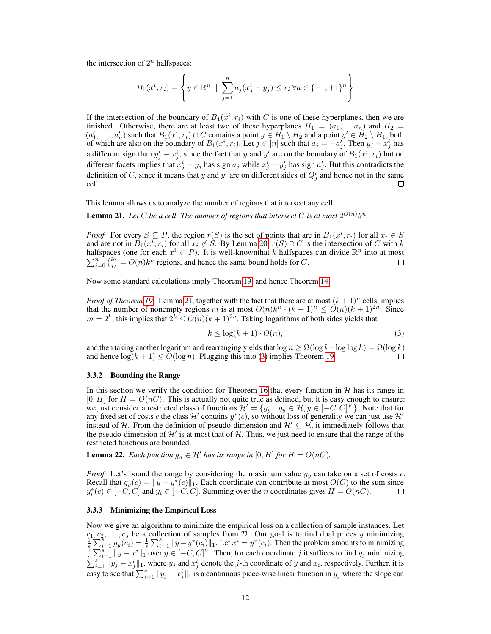the intersection of  $2^n$  halfspaces:

$$
B_1(x^i, r_i) = \left\{ y \in \mathbb{R}^n \mid \sum_{j=1}^n a_j (x_j^i - y_j) \le r_i \ \forall a \in \{-1, +1\}^n \right\}
$$

If the intersection of the boundary of  $B_1(x^i, r_i)$  with C is one of these hyperplanes, then we are finished. Otherwise, there are at least two of these hyperplanes  $H_1 = (a_1, \ldots, a_n)$  and  $H_2 =$  $(a'_1, \ldots, a'_n)$  such that  $B_1(x^i, r_i) \cap C$  contains a point  $y \in H_1 \setminus H_2$  and a point  $y' \in H_2 \setminus H_1$ , both of which are also on the boundary of  $B_1(x^i, r_i)$ . Let  $j \in [n]$  such that  $a_j = -a'_j$ . Then  $y_j - x_j^i$  has a different sign than  $y'_j - x_j^i$ , since the fact that y and y' are on the boundary of  $B_1(x^i, r_i)$  but on different facets implies that  $x_j^i - y_j$  has sign  $a_j$  while  $x_j^i - y_j'$  has sign  $a_j'$ . But this contradicts the definition of C, since it means that y and y' are on different sides of  $Q_j^i$  and hence not in the same cell.  $\Box$ 

This lemma allows us to analyze the number of regions that intersect any cell.

<span id="page-11-2"></span>**Lemma 21.** Let C be a cell. The number of regions that intersect C is at most  $2^{O(n)}k^n$ .

*Proof.* For every  $S \subseteq P$ , the region  $r(S)$  is the set of points that are in  $B_1(x^i, r_i)$  for all  $x_i \in S$ and are not in  $B_1(x^i, r_i)$  for all  $x_i \notin S$ . By Lemma [20,](#page-10-1)  $r(S) \cap C$  is the intersection of C with k halfspaces (one for each  $x^i \in P$ ). It is well-knownthat k halfspaces can divide  $\mathbb{R}^n$  into at most  $\sum_{i=0}^{n} {k \choose i} = O(n)k^{n}$  regions, and hence the same bound holds for C.  $\Box$ 

Now some standard calculations imply Theorem [19,](#page-10-2) and hence Theorem [14.](#page-9-0)

*Proof of Theorem [19.](#page-10-2)* Lemma [21,](#page-11-2) together with the fact that there are at most  $(k + 1)^n$  cells, implies that the number of nonempty regions m is at most  $O(n)k^n \cdot (k+1)^n \leq O(n)(k+1)^{2n}$ . Since  $m = 2<sup>k</sup>$ , this implies that  $2<sup>k</sup> \le O(n)(k+1)^{2n}$ . Taking logarithms of both sides yields that

<span id="page-11-3"></span>
$$
k \le \log(k+1) \cdot O(n),\tag{3}
$$

and then taking another logarithm and rearranging yields that  $\log n \ge \Omega(\log k - \log \log k) = \Omega(\log k)$ and hence  $\log(k+1) \leq O(\log n)$ . Plugging this into [\(3\)](#page-11-3) implies Theorem [19.](#page-10-2) П

#### <span id="page-11-0"></span>3.3.2 Bounding the Range

In this section we verify the condition for Theorem [16](#page-9-1) that every function in  $H$  has its range in  $[0, H]$  for  $H = O(nC)$ . This is actually not quite true as defined, but it is easy enough to ensure: we just consider a restricted class of functions  $\mathcal{H}' = \{g_y | g_y \in \mathcal{H}, y \in [-C, C]^V\}$ . Note that for any fixed set of costs c the class  $\mathcal{H}'$  contains  $y^*(c)$ , so without loss of generality we can just use  $\mathcal{H}'$ instead of H. From the definition of pseudo-dimension and  $\mathcal{H}' \subseteq \mathcal{H}$ , it immediately follows that the pseudo-dimension of  $\mathcal{H}'$  is at most that of  $\mathcal{H}$ . Thus, we just need to ensure that the range of the restricted functions are bounded.

**Lemma 22.** *Each function*  $g_y \in \mathcal{H}'$  *has its range in*  $[0, H]$  *for*  $H = O(nC)$ *.* 

*Proof.* Let's bound the range by considering the maximum value  $g_y$  can take on a set of costs c. Recall that  $g_y(c) = ||y - y^*(c)||_1$ . Each coordinate can contribute at most  $O(C)$  to the sum since  $y_i^*(c) \in [-\tilde{C}, \tilde{C}]$  and  $y_i \in [-\tilde{C}, \tilde{C}]$ . Summing over the *n* coordinates gives  $H = O(nC)$ . П

#### <span id="page-11-1"></span>3.3.3 Minimizing the Empirical Loss

Now we give an algorithm to minimize the empirical loss on a collection of sample instances. Let  $c_1, c_2, \ldots, c_s$  be a collection of samples from  $D$ . Our goal is to find dual prices y minimizing  $\frac{1}{s} \sum_{i=1}^{s} g_y(c_i) = \frac{1}{s} \sum_{i=1}^{s} ||y - y^*(c_i)||_1$ . Let  $x^i = y^*(c_i)$ . Then the problem amounts to minimizing  $\frac{1}{s} \sum$ P  $\sum_{i=1}^{s} \|y - x^i\|_1$  over  $y \in [-C, C]^V$ . Then, for each coordinate j it suffices to find  $y_j$  minimizing  $\sum_{i=1}^{s} \|y_j - x^i_j\|_1$ , where  $y_j$  and  $x^i_j$  denote the j-th coordinate of y and  $x_i$ , respectively. Further, it easy to see that  $\sum_{i=1}^{s} ||y_j - x_j^i||_1$  is a continuous piece-wise linear function in  $y_j$  where the slope can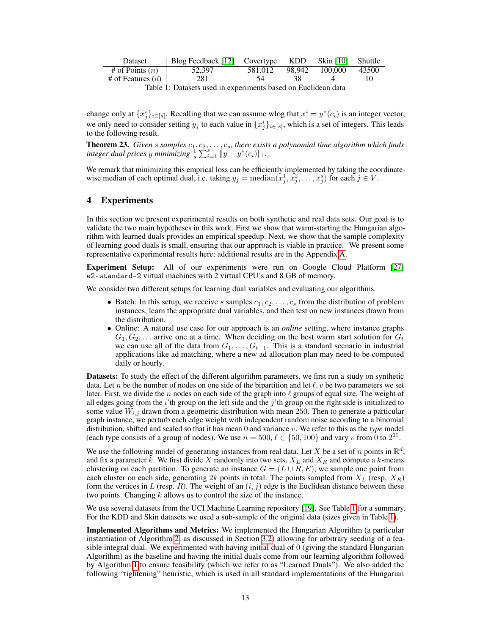| Dataset                                                       | Blog Feedback [12] Covertype |         | KDD    | – Skin [10] | Shuttle |  |  |
|---------------------------------------------------------------|------------------------------|---------|--------|-------------|---------|--|--|
| # of Points $(n)$                                             | 52.397                       | 581,012 | 98.942 | 100.000     | 43500   |  |  |
| # of Features $(d)$                                           | 281                          | 54.     | 38.    |             |         |  |  |
| Table 1: Datasets used in experiments based on Euclidean data |                              |         |        |             |         |  |  |

<span id="page-12-2"></span>Table 1: Datasets used in experiments based on Euclidean

change only at  $\{x_j^i\}_{i\in[s]}$ . Recalling that we can assume wlog that  $x^i = y^*(c_i)$  is an integer vector, we only need to consider setting  $y_j$  to each value in  $\{x_j^i\}_{i \in [s]}$ , which is a set of integers. This leads to the following result.

<span id="page-12-0"></span>**Theorem 23.** *Given s samples*  $c_1, c_2, \ldots, c_s$ , there exists a polynomial time algorithm which finds *integer dual prices* y *minimizing*  $\frac{1}{s} \sum_{i=1}^{s} ||y - y^*(c_i)||_1$ .

We remark that minimizing this emprical loss can be efficiently implemented by taking the coordinatewise median of each optimal dual, i.e. taking  $y_j = \text{median}(x_j^1, x_j^2, \dots, x_j^s)$  for each  $j \in V$ .

### <span id="page-12-1"></span>4 Experiments

In this section we present experimental results on both synthetic and real data sets. Our goal is to validate the two main hypotheses in this work. First we show that warm-starting the Hungarian algorithm with learned duals provides an empirical speedup. Next, we show that the sample complexity of learning good duals is small, ensuring that our approach is viable in practice. We present some representative experimental results here; additional results are in the Appendix [A.](#page-23-3)

Experiment Setup: All of our experiments were run on Google Cloud Platform [\[27\]](#page-21-14) e2-standard-2 virtual machines with 2 virtual CPU's and 8 GB of memory.

We consider two different setups for learning dual variables and evaluating our algorithms.

- Batch: In this setup, we receive s samples  $c_1, c_2, \ldots, c_s$  from the distribution of problem instances, learn the appropriate dual variables, and then test on new instances drawn from the distribution.
- Online: A natural use case for our approach is an *online* setting, where instance graphs  $G_1, G_2, \ldots$  arrive one at a time. When deciding on the best warm start solution for  $G_t$ we can use all of the data from  $G_1, \ldots, G_{t-1}$ . This is a standard scenario in industrial applications like ad matching, where a new ad allocation plan may need to be computed daily or hourly.

Datasets: To study the effect of the different algorithm parameters, we first run a study on synthetic data. Let n be the number of nodes on one side of the bipartition and let  $\ell, v$  be two parameters we set later. First, we divide the n nodes on each side of the graph into  $\ell$  groups of equal size. The weight of all edges going from the  $i$ 'th group on the left side and the  $j$ 'th group on the right side is initialized to some value  $W_{i,j}$  drawn from a geometric distribution with mean 250. Then to generate a particular graph instance, we perturb each edge weight with independent random noise according to a binomial distribution, shifted and scaled so that it has mean 0 and variance v. We refer to this as the *type* model (each type consists of a group of nodes). We use  $n = 500$ ,  $\ell \in \{50, 100\}$  and vary v from 0 to  $2^{20}$ .

We use the following model of generating instances from real data. Let X be a set of n points in  $\mathbb{R}^d$ , and fix a parameter k. We first divide X randomly into two sets,  $X_L$  and  $X_R$  and compute a k-means clustering on each partition. To generate an instance  $G = (L \cup R, E)$ , we sample one point from each cluster on each side, generating  $2k$  points in total. The points sampled from  $X_L$  (resp.  $X_R$ ) form the vertices in  $L$  (resp.  $R$ ). The weight of an  $(i, j)$  edge is the Euclidean distance between these two points. Changing  $k$  allows us to control the size of the instance.

We use several datasets from the UCI Machine Learning repository [\[19\]](#page-20-14). See Table [1](#page-12-2) for a summary. For the KDD and Skin datasets we used a sub-sample of the original data (sizes given in Table [1\)](#page-12-2).

Implemented Algorithms and Metrics: We implemented the Hungarian Algorithm (a particular instantiation of Algorithm [2,](#page-7-2) as discussed in Section [3.2\)](#page-7-1) allowing for arbitrary seeding of a feasible integral dual. We experimented with having initial dual of 0 (giving the standard Hungarian Algorithm) as the baseline and having the initial duals come from our learning algorithm followed by Algorithm [1](#page-6-0) to ensure feasibility (which we refer to as "Learned Duals"). We also added the following "tightening" heuristic, which is used in all standard implementations of the Hungarian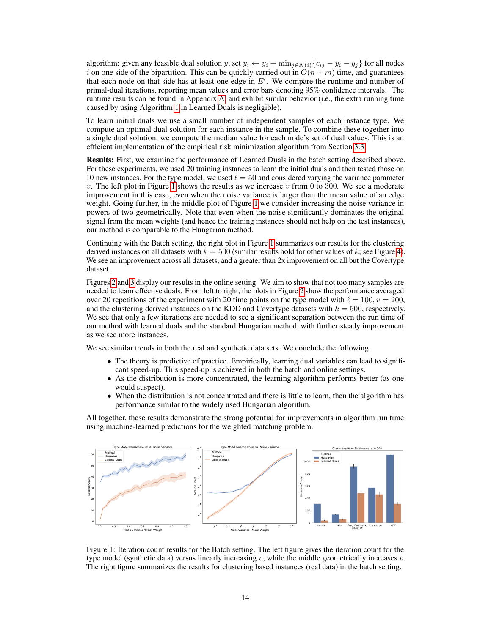algorithm: given any feasible dual solution y, set  $y_i \leftarrow y_i + \min_{j \in N(i)} \{c_{ij} - y_i - y_j\}$  for all nodes i on one side of the bipartition. This can be quickly carried out in  $O(n + m)$  time, and guarantees that each node on that side has at least one edge in  $E'$ . We compare the runtime and number of primal-dual iterations, reporting mean values and error bars denoting 95% confidence intervals. The runtime results can be found in Appendix [A,](#page-23-3) and exhibit similar behavior (i.e., the extra running time caused by using Algorithm [1](#page-6-0) in Learned Duals is negligible).

To learn initial duals we use a small number of independent samples of each instance type. We compute an optimal dual solution for each instance in the sample. To combine these together into a single dual solution, we compute the median value for each node's set of dual values. This is an efficient implementation of the empirical risk minimization algorithm from Section [3.3.](#page-8-1)

Results: First, we examine the performance of Learned Duals in the batch setting described above. For these experiments, we used 20 training instances to learn the initial duals and then tested those on 10 new instances. For the type model, we used  $\ell = 50$  and considered varying the variance parameter v. The left plot in Figure [1](#page-13-0) shows the results as we increase v from 0 to 300. We see a moderate improvement in this case, even when the noise variance is larger than the mean value of an edge weight. Going further, in the middle plot of Figure [1](#page-13-0) we consider increasing the noise variance in powers of two geometrically. Note that even when the noise significantly dominates the original signal from the mean weights (and hence the training instances should not help on the test instances), our method is comparable to the Hungarian method.

Continuing with the Batch setting, the right plot in Figure [1](#page-13-0) summarizes our results for the clustering derived instances on all datasets with  $k = 500$  (similar results hold for other values of k; see Figure [4\)](#page-15-0). We see an improvement across all datasets, and a greater than  $2x$  improvement on all but the Covertype dataset.

Figures [2](#page-14-1) and [3](#page-14-2) display our results in the online setting. We aim to show that not too many samples are needed to learn effective duals. From left to right, the plots in Figure [2](#page-14-1) show the performance averaged over 20 repetitions of the experiment with 20 time points on the type model with  $\ell = 100, v = 200$ , and the clustering derived instances on the KDD and Covertype datasets with  $k = 500$ , respectively. We see that only a few iterations are needed to see a significant separation between the run time of our method with learned duals and the standard Hungarian method, with further steady improvement as we see more instances.

We see similar trends in both the real and synthetic data sets. We conclude the following.

- The theory is predictive of practice. Empirically, learning dual variables can lead to significant speed-up. This speed-up is achieved in both the batch and online settings.
- As the distribution is more concentrated, the learning algorithm performs better (as one would suspect).
- When the distribution is not concentrated and there is little to learn, then the algorithm has performance similar to the widely used Hungarian algorithm.

All together, these results demonstrate the strong potential for improvements in algorithm run time using machine-learned predictions for the weighted matching problem.



<span id="page-13-0"></span>Figure 1: Iteration count results for the Batch setting. The left figure gives the iteration count for the type model (synthetic data) versus linearly increasing  $v$ , while the middle geometrically increases  $v$ . The right figure summarizes the results for clustering based instances (real data) in the batch setting.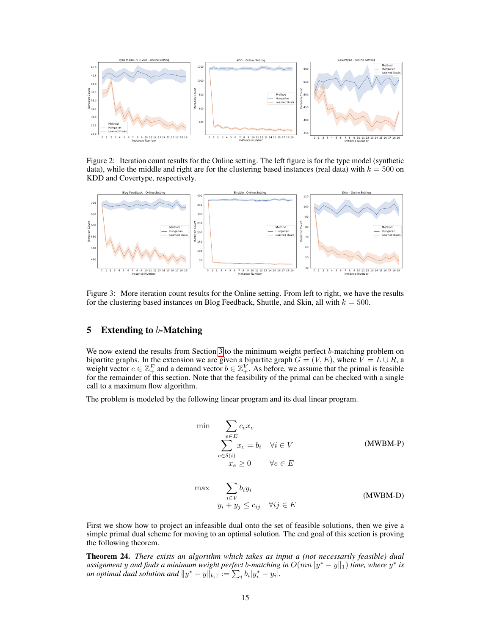

<span id="page-14-1"></span>Figure 2: Iteration count results for the Online setting. The left figure is for the type model (synthetic data), while the middle and right are for the clustering based instances (real data) with  $k = 500$  on KDD and Covertype, respectively.



<span id="page-14-2"></span>Figure 3: More iteration count results for the Online setting. From left to right, we have the results for the clustering based instances on Blog Feedback, Shuttle, and Skin, all with  $k = 500$ .

# <span id="page-14-0"></span>5 Extending to  $b$ -Matching

We now extend the results from Section [3](#page-4-0) to the minimum weight perfect b-matching problem on bipartite graphs. In the extension we are given a bipartite graph  $G = (V, E)$ , where  $V = L \cup R$ , a weight vector  $c \in \mathbb{Z}_+^E$  and a demand vector  $b \in \mathbb{Z}_+^V$ . As before, we assume that the primal is feasible for the remainder of this section. Note that the feasibility of the primal can be checked with a single call to a maximum flow algorithm.

<span id="page-14-3"></span>The problem is modeled by the following linear program and its dual linear program.

$$
\min \sum_{e \in E} c_e x_e
$$
\n
$$
\sum_{e \in \delta(i)} x_e = b_i \quad \forall i \in V
$$
\n(MWBM-P)\n
$$
x_e \ge 0 \qquad \forall e \in E
$$

$$
\max \sum_{i \in V} b_i y_i
$$
  
\n
$$
y_i + y_j \le c_{ij} \quad \forall ij \in E
$$
 (MWBM-D)

First we show how to project an infeasible dual onto the set of feasible solutions, then we give a simple primal dual scheme for moving to an optimal solution. The end goal of this section is proving the following theorem.

<span id="page-14-4"></span>Theorem 24. *There exists an algorithm which takes as input a (not necessarily feasible) dual* assignment  $y$  and finds a minimum weight perfect  $b$ -matching in  $O(mn\|y^* - y\|_1)$  time, where  $y^*$  is *an optimal dual solution and*  $||y^* - y||_{b,1} := \sum_i b_i |y_i^* - y_i|.$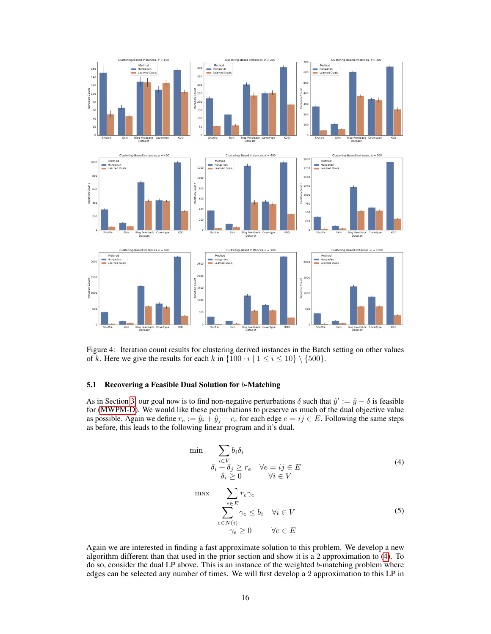

<span id="page-15-0"></span>Figure 4: Iteration count results for clustering derived instances in the Batch setting on other values of k. Here we give the results for each k in  $\{100 \cdot i \mid 1 \le i \le 10\} \setminus \{500\}.$ 

#### 5.1 Recovering a Feasible Dual Solution for b-Matching

As in Section [3,](#page-4-0) our goal now is to find non-negative perturbations  $\delta$  such that  $\hat{y}' := \hat{y} - \delta$  is feasible for [\(MWPM-D\)](#page-4-2). We would like these perturbations to preserve as much of the dual objective value as possible. Again we define  $r_e := \hat{y}_i + \hat{y}_j - c_e$  for each edge  $e = ij \in E$ . Following the same steps as before, this leads to the following linear program and it's dual.

$$
\min \sum_{\substack{i \in V \\ \delta_i + \delta_j \ge r_e}} b_i \delta_i
$$
\n
$$
\delta_i \frac{\partial^2}{\partial s_i} \delta_j \ge r_e \quad \forall e = ij \in E
$$
\n
$$
\forall i \in V
$$
\n(4)

$$
\max \sum_{e \in E} r_e \gamma_e
$$
\n
$$
\sum_{e \in N(i)} r_e \le b_i \quad \forall i \in V
$$
\n
$$
\gamma_e \ge 0 \qquad \forall e \in E
$$
\n(5)

<span id="page-15-1"></span>Again we are interested in finding a fast approximate solution to this problem. We develop a new algorithm different than that used in the prior section and show it is a 2 approximation to [\(4\)](#page-14-3). To do so, consider the dual LP above. This is an instance of the weighted  $b$ -matching problem where edges can be selected any number of times. We will first develop a 2 approximation to this LP in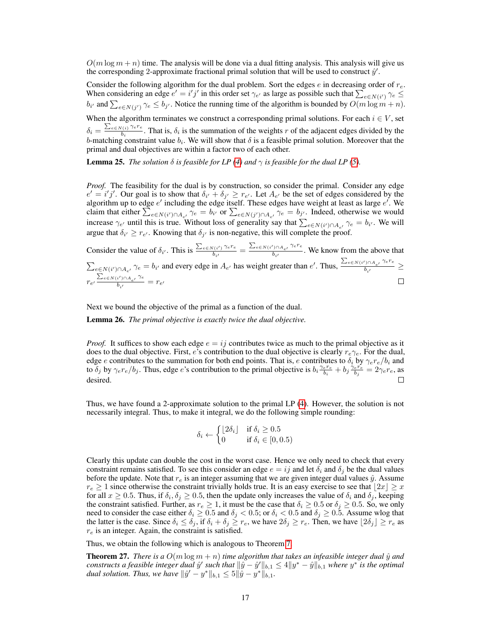$O(m \log m + n)$  time. The analysis will be done via a dual fitting analysis. This analysis will give us the corresponding 2-approximate fractional primal solution that will be used to construct  $\hat{y}'$ .

Consider the following algorithm for the dual problem. Sort the edges  $e$  in decreasing order of  $r_e$ . When considering an edge  $e' = i'j'$  in this order set  $\gamma_{e'}$  as large as possible such that  $\sum_{e \in N(i')} \gamma_e \leq$  $b_{i'}$  and  $\sum_{e \in N(j')} \gamma_e \leq b_{j'}$ . Notice the running time of the algorithm is bounded by  $O(m \log m + n)$ .

When the algorithm terminates we construct a corresponding primal solutions. For each  $i \in V$ , set  $\delta_i = \frac{\sum_{e \in N(i)} \gamma_e r_e}{h_i}$  $\frac{f(i) e^{i\theta}}{b_i}$ . That is,  $\delta_i$  is the summation of the weights r of the adjacent edges divided by the b-matching constraint value  $b_i$ . We will show that  $\delta$  is a feasible primal solution. Moreover that the primal and dual objectives are within a factor two of each other.

**Lemma 25.** *The solution*  $\delta$  *is feasible for LP* [\(4\)](#page-14-3) *and*  $\gamma$  *is feasible for the dual LP* [\(5\)](#page-15-1)*.* 

*Proof.* The feasibility for the dual is by construction, so consider the primal. Consider any edge  $e' = i'j'$ . Our goal is to show that  $\delta_{i'} + \delta_{j'} \ge r_{e'}$ . Let  $A_{e'}$  be the set of edges considered by the algorithm up to edge  $e'$  including the edge itself. These edges have weight at least as large  $e'$ . We claim that either  $\sum_{e \in N(i') \cap A_{e'}} \gamma_e = b_{i'}$  or  $\sum_{e \in N(j') \cap A_{e'}} \gamma_e = b_{j'}$ . Indeed, otherwise we would increase  $\gamma_{e'}$  until this is true. Without loss of generality say that  $\sum_{e \in N(i') \cap A_{e'}} \gamma_e = b_{i'}$ . We will argue that  $\delta_{i'} \ge r_{e'}$ . Knowing that  $\delta_{j'}$  is non-negative, this will complete the proof.

 $\frac{d_{l(i')}\gamma_e r_e}{b_{i'}}=\frac{\sum_{e\in N(i')\cap A_{e'}}\gamma_e r_e}{b_{i'}}$ Consider the value of  $\delta_{i'}$ . This is  $\frac{\sum_{e \in N(i')}\gamma_e r_e}{b_{i'}}$  $\frac{\partial |A_e|}{\partial i}$ . We know from the above that  $\sum_{e \in N(i') \cap A_{e'}} \gamma_e = b_{i'}$  and every edge in  $A_{e'}$  has weight greater than  $e'$ . Thus,  $\frac{\sum_{e \in N(i') \cap A_{e'}} \gamma_e r_e}{b_{i'}}$  $\frac{b_{i'} e^{j} e^{j} e^{-j}}{b_{i'} e^{-j}} \geq$  $r_{e'} \frac{\sum_{e \in N(i') \cap A_{e'}} \gamma_e}{b}$  $\Box$  $\frac{1}{b_{i'}}^{\frac{1}{(1+a_{e'})^{\prime}}}} = r_{e'}$ 

Next we bound the objective of the primal as a function of the dual.

Lemma 26. *The primal objective is exactly twice the dual objective.*

*Proof.* It suffices to show each edge  $e = ij$  contributes twice as much to the primal objective as it does to the dual objective. First, e's contribution to the dual objective is clearly  $r_e \gamma_e$ . For the dual, edge e contributes to the summation for both end points. That is, e contributes to  $\delta_i$  by  $\gamma_e r_e/b_i$  and to  $\delta_j$  by  $\gamma_e r_e/b_j$ . Thus, edge e's contribution to the primal objective is  $b_i \frac{\gamma_e r_e}{b_i} + b_j \frac{\gamma_e r_e}{b_j} = 2 \gamma_e r_e$ , as desired.

Thus, we have found a 2-approximate solution to the primal LP [\(4\)](#page-14-3). However, the solution is not necessarily integral. Thus, to make it integral, we do the following simple rounding:

$$
\delta_i \leftarrow \begin{cases} \lfloor 2\delta_i \rfloor & \text{if } \delta_i \ge 0.5\\ 0 & \text{if } \delta_i \in [0, 0.5) \end{cases}
$$

Clearly this update can double the cost in the worst case. Hence we only need to check that every constraint remains satisfied. To see this consider an edge  $e = ij$  and let  $\delta_i$  and  $\delta_j$  be the dual values before the update. Note that  $r_e$  is an integer assuming that we are given integer dual values  $\hat{y}$ . Assume  $r_e \ge 1$  since otherwise the constraint trivially holds true. It is an easy exercise to see that  $\lfloor 2x \rfloor \ge x$ for all  $x \ge 0.5$ . Thus, if  $\delta_i, \delta_j \ge 0.5$ , then the update only increases the value of  $\delta_i$  and  $\delta_j$ , keeping the constraint satisfied. Further, as  $r_e \ge 1$ , it must be the case that  $\delta_i \ge 0.5$  or  $\delta_j \ge 0.5$ . So, we only need to consider the case either  $\delta_i \geq 0.5$  and  $\delta_j < 0.5$ ; or  $\delta_i < 0.5$  and  $\delta_j \geq 0.5$ . Assume wlog that the latter is the case. Since  $\delta_i \leq \delta_j$ , if  $\delta_i + \delta_j \geq r_e$ , we have  $2\delta_j \geq r_e$ . Then, we have  $\lfloor 2\delta_j \rfloor \geq r_e$  as  $r_e$  is an integer. Again, the constraint is satisfied.

Thus, we obtain the following which is analogous to Theorem [7.](#page-7-0)

<span id="page-16-0"></span>**Theorem 27.** *There is a*  $O(m \log m + n)$  *time algorithm that takes an infeasible integer dual*  $\hat{y}$  *and constructs a feasible integer dual*  $\hat{y}'$  *such that*  $\|\hat{y} - \hat{y}'\|_{b,1} \le 4\|y^* - \hat{y}\|_{b,1}$  where  $y^*$  is the optimal *dual solution. Thus, we have*  $\|\hat{y}' - y^*\|_{b,1} \leq 5\|\hat{y} - y^*\|_{b,1}$ .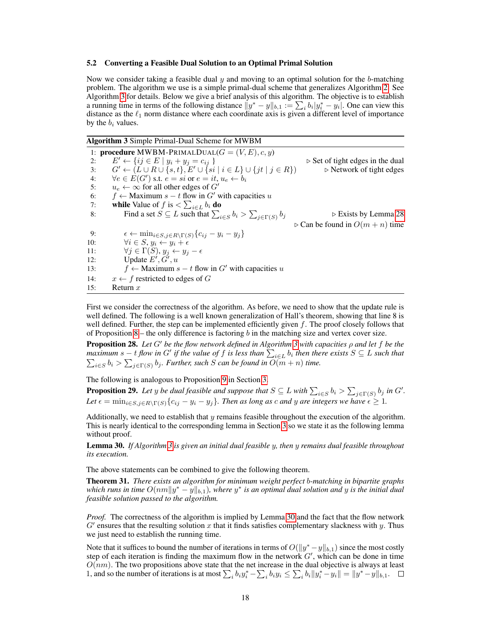#### 5.2 Converting a Feasible Dual Solution to an Optimal Primal Solution

Now we consider taking a feasible dual  $y$  and moving to an optimal solution for the  $b$ -matching problem. The algorithm we use is a simple primal-dual scheme that generalizes Algorithm [2.](#page-7-2) See Algorithm [3](#page-17-0) for details. Below we give a brief analysis of this algorithm. The objective is to establish a running time in terms of the following distance  $||y^* - y||_{b,1} = \sum_i b_i |y_i^* - y_i|$ . One can view this distance as the  $\ell_1$  norm distance where each coordinate axis is given a different level of importance by the  $b_i$  values.

Algorithm 3 Simple Primal-Dual Scheme for MWBM

<span id="page-17-0"></span>1: procedure MWBM-PRIMALDUAL $(G = (V, E), c, y)$ 2:  $E' \leftarrow \{ij \in E \mid y_i + y_j = c_{ij} \}$   $\triangleright$  Set of tight edges in the dual 3:  $G' \leftarrow (L \cup R \cup \{s, t\}, E' \cup \{si \mid i \in L\} \cup \{jt \mid j \in R\})$  b Network of tight edges 4:  $\forall e \in E(G') \text{ s.t. } e = si \text{ or } e = it, u_e \leftarrow b_i$ 5:  $u_e \leftarrow \infty$  for all other edges of  $G'$ 6:  $f$  ← Maximum  $s - t$  flow in  $G'$  with capacities u 7: while Value of  $f$  is  $\langle \sum_{i \in L} b_i \mathbf{d} \mathbf{o} \rangle$ 8: Find a set  $S \subseteq L$  such that  $\sum_{i \in S} b_i > \sum_{j \in \Gamma(S)}$  $\triangleright$  Exists by Lemma [28](#page-17-1)  $\triangleright$  Can be found in  $O(m + n)$  time 9:  $\epsilon \leftarrow \min_{i \in S, j \in R \setminus \Gamma(S)} \{c_{ij} - y_i - y_j\}$ 10:  $\forall i \in S, y_i \leftarrow y_i + \epsilon$ 11:  $\forall j \in \Gamma(S), y_j \leftarrow y_j - \epsilon$ 12: Update  $E', \check{G}', u$ 13:  $f$  ← Maximum  $s - t$  flow in  $G'$  with capacities u 14:  $x \leftarrow f$  restricted to edges of G 15: Return x

First we consider the correctness of the algorithm. As before, we need to show that the update rule is well defined. The following is a well known generalization of Hall's theorem, showing that line 8 is well defined. Further, the step can be implemented efficiently given  $f$ . The proof closely follows that of Proposition [8](#page-7-3) – the only difference is factoring b in the matching size and vertex cover size.

<span id="page-17-1"></span>**Proposition 28.** Let G' be the flow network defined in Algorithm [3](#page-17-0) with capacities  $\rho$  and let f be the  $maximum\ s-t$  flow in  $G'$  if the value of  $f$  is less than  $\sum_{i\in L}b_i$ P *then there exists* S ⊆ L *such that*  $\sum_{i \in S} b_i > \sum_{j \in \Gamma(S)} b_j$ *. Further, such S can be found in*  $O(m + n)$  *time.* 

The following is analogous to Proposition [9](#page-7-4) in Section [3.](#page-4-0)

**Proposition 29.** Let y be dual feasible and suppose that  $S \subseteq L$  with  $\sum_{i \in S} b_i > \sum_{j \in \Gamma(S)} b_j$  in G'. *Let*  $\epsilon = \min_{i \in S, j \in R \setminus \Gamma(S)} \{c_{ij} - y_i - y_j\}$ *. Then as long as c and y are integers we have*  $\epsilon \geq 1$ *.* 

Additionally, we need to establish that  $y$  remains feasible throughout the execution of the algorithm. This is nearly identical to the corresponding lemma in Section [3](#page-4-0) so we state it as the following lemma without proof.

<span id="page-17-2"></span>Lemma 30. *If Algorithm [3](#page-17-0) is given an initial dual feasible* y*, then* y *remains dual feasible throughout its execution.*

The above statements can be combined to give the following theorem.

Theorem 31. *There exists an algorithm for minimum weight perfect* b*-matching in bipartite graphs* which runs in time  $O(nm||y^* - y||_{b,1})$ , where  $y^*$  is an optimal dual solution and y is the initial dual *feasible solution passed to the algorithm.*

*Proof.* The correctness of the algorithm is implied by Lemma [30](#page-17-2) and the fact that the flow network  $G'$  ensures that the resulting solution x that it finds satisfies complementary slackness with y. Thus we just need to establish the running time.

Note that it suffices to bound the number of iterations in terms of  $O(||y^* - y||_{b,1})$  since the most costly step of each iteration is finding the maximum flow in the network  $G'$ , which can be done in time  $O(nm)$ . The two propositions above state that the net increase in the dual objective is always at least 1, and so the number of iterations is at most  $\sum_i b_i y_i^* - \sum_i b_i y_i \le \sum_i b_i ||y_i^* - y_i|| = ||y^* - y||_{b,1}$ .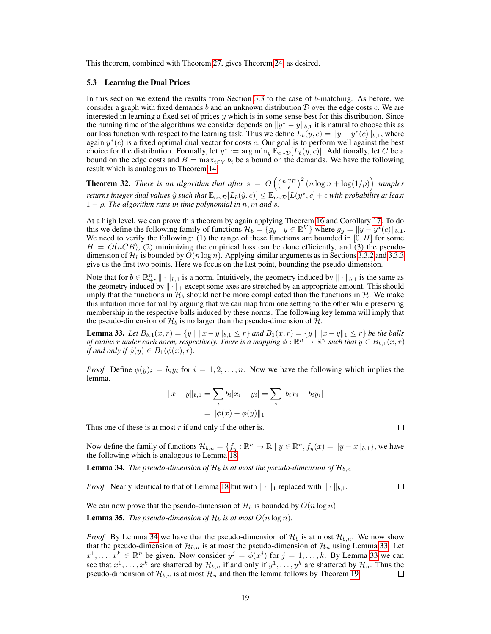This theorem, combined with Theorem [27,](#page-16-0) gives Theorem [24,](#page-14-4) as desired.

#### 5.3 Learning the Dual Prices

In this section we extend the results from Section [3.3](#page-8-1) to the case of b-matching. As before, we consider a graph with fixed demands b and an unknown distribution  $D$  over the edge costs c. We are interested in learning a fixed set of prices y which is in some sense best for this distribution. Since the running time of the algorithms we consider depends on  $||y^* - y||_{b,1}$  it is natural to choose this as our loss function with respect to the learning task. Thus we define  $L_b(y, c) = ||y - y^*(c)||_{b,1}$ , where again  $y^*(c)$  is a fixed optimal dual vector for costs c. Our goal is to perform well against the best choice for the distribution. Formally, let  $y^* := \arg \min_y \mathbb{E}_{c \sim \mathcal{D}}[L_b(y, c)]$ . Additionally, let C be a bound on the edge costs and  $B = \max_{i \in V} b_i$  be a bound on the demands. We have the following result which is analogous to Theorem [14.](#page-9-0)

**Theorem 32.** *There is an algorithm that after*  $s = O\left(\left(\frac{nCB}{\epsilon}\right)^2(n\log n + \log(1/\rho)\right)$  *samples*  $r$ eturns integer dual values  $\hat{y}$  such that  $\mathbb{E}_{c\sim\mathcal{D}}[L_b(\hat{y},c)]\leq\mathbb{E}_{c\sim\mathcal{D}}[L(y^*,c]+\epsilon$  with probability at least 1 − ρ*. The algorithm runs in time polynomial in* n, m *and* s*.*

At a high level, we can prove this theorem by again applying Theorem [16](#page-9-1) and Corollary [17.](#page-10-3) To do this we define the following family of functions  $\mathcal{H}_b = \{g_y \mid y \in \mathbb{R}^V\}$  where  $g_y = ||y - y^*(c)||_{b,1}$ . We need to verify the following: (1) the range of these functions are bounded in  $[0, H]$  for some  $H = O(nCB)$ , (2) minimizing the empirical loss can be done efficiently, and (3) the pseudodimension of  $\mathcal{H}_b$  is bounded by  $O(n \log n)$ . Applying similar arguments as in Sections [3.3.2](#page-11-0) and [3.3.3](#page-11-1) give us the first two points. Here we focus on the last point, bounding the pseudo-dimension.

Note that for  $b \in \mathbb{R}_+^n$ ,  $\|\cdot\|_{b,1}$  is a norm. Intuitively, the geometry induced by  $\|\cdot\|_{b,1}$  is the same as the geometry induced by  $\|\cdot\|_1$  except some axes are stretched by an appropriate amount. This should imply that the functions in  $\mathcal{H}_b$  should not be more complicated than the functions in H. We make this intuition more formal by arguing that we can map from one setting to the other while preserving membership in the respective balls induced by these norms. The following key lemma will imply that the pseudo-dimension of  $\mathcal{H}_b$  is no larger than the pseudo-dimension of  $\mathcal{H}$ .

<span id="page-18-1"></span>**Lemma 33.** Let  $B_{b,1}(x,r) = \{y \mid ||x-y||_{b,1} \leq r\}$  and  $B_1(x,r) = \{y \mid ||x-y||_1 \leq r\}$  be the balls *of radius r under each norm, respectively. There is a mapping*  $\phi : \mathbb{R}^n \to \mathbb{R}^n$  *such that*  $y \in B_{b,1}(x,r)$ *if and only if*  $\phi(y) \in B_1(\phi(x), r)$ *.* 

*Proof.* Define  $\phi(y)_i = b_i y_i$  for  $i = 1, 2, ..., n$ . Now we have the following which implies the lemma.

$$
||x - y||_{b,1} = \sum_{i} b_i |x_i - y_i| = \sum_{i} |b_i x_i - b_i y_i|
$$
  
=  $||\phi(x) - \phi(y)||_1$ 

Thus one of these is at most  $r$  if and only if the other is.

Now define the family of functions  $\mathcal{H}_{b,n} = \{f_y : \mathbb{R}^n \to \mathbb{R} \mid y \in \mathbb{R}^n, f_y(x) = ||y - x||_{b,1}\}$ , we have the following which is analogous to Lemma [18.](#page-10-0)

<span id="page-18-0"></span>**Lemma 34.** *The pseudo-dimension of*  $\mathcal{H}_b$  *is at most the pseudo-dimension of*  $\mathcal{H}_{b,n}$ 

*Proof.* Nearly identical to that of Lemma [18](#page-10-0) but with  $\|\cdot\|_1$  replaced with  $\|\cdot\|_{b,1}$ .

We can now prove that the pseudo-dimension of  $\mathcal{H}_b$  is bounded by  $O(n \log n)$ .

**Lemma 35.** *The pseudo-dimension of*  $\mathcal{H}_b$  *is at most*  $O(n \log n)$ *.* 

*Proof.* By Lemma [34](#page-18-0) we have that the pseudo-dimension of  $\mathcal{H}_b$  is at most  $\mathcal{H}_{b,n}$ . We now show that the pseudo-dimension of  $\mathcal{H}_{b,n}$  is at most the pseudo-dimension of  $\mathcal{H}_n$  using Lemma [33.](#page-18-1) Let  $x^1, \ldots, x^k \in \mathbb{R}^n$  be given. Now consider  $y^j = \phi(x^j)$  for  $j = 1, \ldots, k$ . By Lemma [33](#page-18-1) we can see that  $x^1, \ldots, x^k$  are shattered by  $\mathcal{H}_{b,n}$  if and only if  $y^1, \ldots, y^k$  are shattered by  $\mathcal{H}_n$ . Thus the pseudo-dimension of  $\mathcal{H}_{b,n}$  is at most  $\mathcal{H}_n$  and then the lemma follows by Theorem [19.](#page-10-2)  $\Box$ 

 $\Box$ 

 $\Box$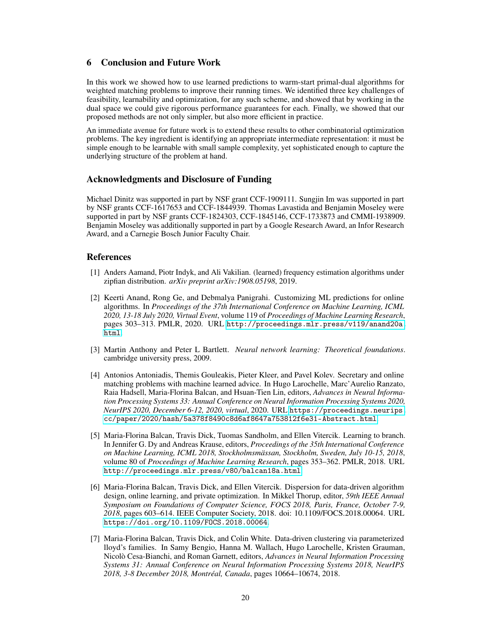## 6 Conclusion and Future Work

In this work we showed how to use learned predictions to warm-start primal-dual algorithms for weighted matching problems to improve their running times. We identified three key challenges of feasibility, learnability and optimization, for any such scheme, and showed that by working in the dual space we could give rigorous performance guarantees for each. Finally, we showed that our proposed methods are not only simpler, but also more efficient in practice.

An immediate avenue for future work is to extend these results to other combinatorial optimization problems. The key ingredient is identifying an appropriate intermediate representation: it must be simple enough to be learnable with small sample complexity, yet sophisticated enough to capture the underlying structure of the problem at hand.

# Acknowledgments and Disclosure of Funding

Michael Dinitz was supported in part by NSF grant CCF-1909111. Sungjin Im was supported in part by NSF grants CCF-1617653 and CCF-1844939. Thomas Lavastida and Benjamin Moseley were supported in part by NSF grants CCF-1824303, CCF-1845146, CCF-1733873 and CMMI-1938909. Benjamin Moseley was additionally supported in part by a Google Research Award, an Infor Research Award, and a Carnegie Bosch Junior Faculty Chair.

# **References**

- <span id="page-19-2"></span>[1] Anders Aamand, Piotr Indyk, and Ali Vakilian. (learned) frequency estimation algorithms under zipfian distribution. *arXiv preprint arXiv:1908.05198*, 2019.
- <span id="page-19-1"></span>[2] Keerti Anand, Rong Ge, and Debmalya Panigrahi. Customizing ML predictions for online algorithms. In *Proceedings of the 37th International Conference on Machine Learning, ICML 2020, 13-18 July 2020, Virtual Event*, volume 119 of *Proceedings of Machine Learning Research*, pages 303–313. PMLR, 2020. URL [http://proceedings.mlr.press/v119/anand20a.](http://proceedings.mlr.press/v119/anand20a.html) [html](http://proceedings.mlr.press/v119/anand20a.html).
- <span id="page-19-6"></span>[3] Martin Anthony and Peter L Bartlett. *Neural network learning: Theoretical foundations*. cambridge university press, 2009.
- <span id="page-19-0"></span>[4] Antonios Antoniadis, Themis Gouleakis, Pieter Kleer, and Pavel Kolev. Secretary and online matching problems with machine learned advice. In Hugo Larochelle, Marc'Aurelio Ranzato, Raia Hadsell, Maria-Florina Balcan, and Hsuan-Tien Lin, editors, *Advances in Neural Information Processing Systems 33: Annual Conference on Neural Information Processing Systems 2020, NeurIPS 2020, December 6-12, 2020, virtual*, 2020. URL [https://proceedings.neurips.](https://proceedings.neurips.cc/paper/2020/hash/5a378f8490c8d6af8647a753812f6e31-Abstract.html) [cc/paper/2020/hash/5a378f8490c8d6af8647a753812f6e31-Abstract.html](https://proceedings.neurips.cc/paper/2020/hash/5a378f8490c8d6af8647a753812f6e31-Abstract.html).
- <span id="page-19-4"></span>[5] Maria-Florina Balcan, Travis Dick, Tuomas Sandholm, and Ellen Vitercik. Learning to branch. In Jennifer G. Dy and Andreas Krause, editors, *Proceedings of the 35th International Conference on Machine Learning, ICML 2018, Stockholmsmässan, Stockholm, Sweden, July 10-15, 2018*, volume 80 of *Proceedings of Machine Learning Research*, pages 353–362. PMLR, 2018. URL <http://proceedings.mlr.press/v80/balcan18a.html>.
- <span id="page-19-3"></span>[6] Maria-Florina Balcan, Travis Dick, and Ellen Vitercik. Dispersion for data-driven algorithm design, online learning, and private optimization. In Mikkel Thorup, editor, *59th IEEE Annual Symposium on Foundations of Computer Science, FOCS 2018, Paris, France, October 7-9, 2018*, pages 603–614. IEEE Computer Society, 2018. doi: 10.1109/FOCS.2018.00064. URL <https://doi.org/10.1109/FOCS.2018.00064>.
- <span id="page-19-5"></span>[7] Maria-Florina Balcan, Travis Dick, and Colin White. Data-driven clustering via parameterized lloyd's families. In Samy Bengio, Hanna M. Wallach, Hugo Larochelle, Kristen Grauman, Nicolò Cesa-Bianchi, and Roman Garnett, editors, *Advances in Neural Information Processing Systems 31: Annual Conference on Neural Information Processing Systems 2018, NeurIPS 2018, 3-8 December 2018, Montréal, Canada*, pages 10664–10674, 2018.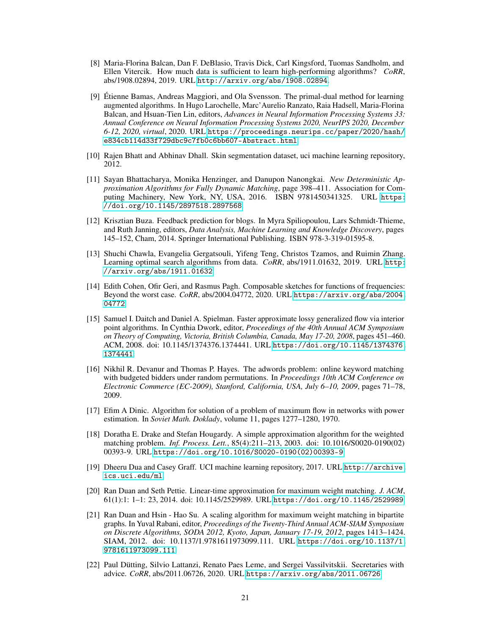- <span id="page-20-8"></span>[8] Maria-Florina Balcan, Dan F. DeBlasio, Travis Dick, Carl Kingsford, Tuomas Sandholm, and Ellen Vitercik. How much data is sufficient to learn high-performing algorithms? *CoRR*, abs/1908.02894, 2019. URL <http://arxiv.org/abs/1908.02894>.
- <span id="page-20-1"></span>[9] Étienne Bamas, Andreas Maggiori, and Ola Svensson. The primal-dual method for learning augmented algorithms. In Hugo Larochelle, Marc'Aurelio Ranzato, Raia Hadsell, Maria-Florina Balcan, and Hsuan-Tien Lin, editors, *Advances in Neural Information Processing Systems 33: Annual Conference on Neural Information Processing Systems 2020, NeurIPS 2020, December 6-12, 2020, virtual*, 2020. URL [https://proceedings.neurips.cc/paper/2020/hash/](https://proceedings.neurips.cc/paper/2020/hash/e834cb114d33f729dbc9c7fb0c6bb607-Abstract.html) [e834cb114d33f729dbc9c7fb0c6bb607-Abstract.html](https://proceedings.neurips.cc/paper/2020/hash/e834cb114d33f729dbc9c7fb0c6bb607-Abstract.html).
- <span id="page-20-13"></span>[10] Rajen Bhatt and Abhinav Dhall. Skin segmentation dataset, uci machine learning repository, 2012.
- <span id="page-20-10"></span>[11] Sayan Bhattacharya, Monika Henzinger, and Danupon Nanongkai. *New Deterministic Approximation Algorithms for Fully Dynamic Matching*, page 398–411. Association for Computing Machinery, New York, NY, USA, 2016. ISBN 9781450341325. URL [https:](https://doi.org/10.1145/2897518.2897568) [//doi.org/10.1145/2897518.2897568](https://doi.org/10.1145/2897518.2897568).
- <span id="page-20-12"></span>[12] Krisztian Buza. Feedback prediction for blogs. In Myra Spiliopoulou, Lars Schmidt-Thieme, and Ruth Janning, editors, *Data Analysis, Machine Learning and Knowledge Discovery*, pages 145–152, Cham, 2014. Springer International Publishing. ISBN 978-3-319-01595-8.
- <span id="page-20-9"></span>[13] Shuchi Chawla, Evangelia Gergatsouli, Yifeng Teng, Christos Tzamos, and Ruimin Zhang. Learning optimal search algorithms from data. *CoRR*, abs/1911.01632, 2019. URL [http:](http://arxiv.org/abs/1911.01632) [//arxiv.org/abs/1911.01632](http://arxiv.org/abs/1911.01632).
- <span id="page-20-7"></span>[14] Edith Cohen, Ofir Geri, and Rasmus Pagh. Composable sketches for functions of frequencies: Beyond the worst case. *CoRR*, abs/2004.04772, 2020. URL [https://arxiv.org/abs/2004.](https://arxiv.org/abs/2004.04772) [04772](https://arxiv.org/abs/2004.04772).
- <span id="page-20-6"></span>[15] Samuel I. Daitch and Daniel A. Spielman. Faster approximate lossy generalized flow via interior point algorithms. In Cynthia Dwork, editor, *Proceedings of the 40th Annual ACM Symposium on Theory of Computing, Victoria, British Columbia, Canada, May 17-20, 2008*, pages 451–460. ACM, 2008. doi: 10.1145/1374376.1374441. URL [https://doi.org/10.1145/1374376.](https://doi.org/10.1145/1374376.1374441) [1374441](https://doi.org/10.1145/1374376.1374441).
- <span id="page-20-2"></span>[16] Nikhil R. Devanur and Thomas P. Hayes. The adwords problem: online keyword matching with budgeted bidders under random permutations. In *Proceedings 10th ACM Conference on Electronic Commerce (EC-2009), Stanford, California, USA, July 6–10, 2009*, pages 71–78, 2009.
- <span id="page-20-5"></span>[17] Efim A Dinic. Algorithm for solution of a problem of maximum flow in networks with power estimation. In *Soviet Math. Doklady*, volume 11, pages 1277–1280, 1970.
- <span id="page-20-11"></span>[18] Doratha E. Drake and Stefan Hougardy. A simple approximation algorithm for the weighted matching problem. *Inf. Process. Lett.*, 85(4):211–213, 2003. doi: 10.1016/S0020-0190(02) 00393-9. URL [https://doi.org/10.1016/S0020-0190\(02\)00393-9](https://doi.org/10.1016/S0020-0190(02)00393-9).
- <span id="page-20-14"></span>[19] Dheeru Dua and Casey Graff. UCI machine learning repository, 2017. URL [http://archive.](http://archive.ics.uci.edu/ml) [ics.uci.edu/ml](http://archive.ics.uci.edu/ml).
- <span id="page-20-4"></span>[20] Ran Duan and Seth Pettie. Linear-time approximation for maximum weight matching. *J. ACM*, 61(1):1: 1–1: 23, 2014. doi: 10.1145/2529989. URL <https://doi.org/10.1145/2529989>.
- <span id="page-20-3"></span>[21] Ran Duan and Hsin - Hao Su. A scaling algorithm for maximum weight matching in bipartite graphs. In Yuval Rabani, editor, *Proceedings of the Twenty-Third Annual ACM-SIAM Symposium on Discrete Algorithms, SODA 2012, Kyoto, Japan, January 17-19, 2012*, pages 1413–1424. SIAM, 2012. doi: 10.1137/1.9781611973099.111. URL [https://doi.org/10.1137/1.](https://doi.org/10.1137/1.9781611973099.111) [9781611973099.111](https://doi.org/10.1137/1.9781611973099.111).
- <span id="page-20-0"></span>[22] Paul Dütting, Silvio Lattanzi, Renato Paes Leme, and Sergei Vassilvitskii. Secretaries with advice. *CoRR*, abs/2011.06726, 2020. URL <https://arxiv.org/abs/2011.06726>.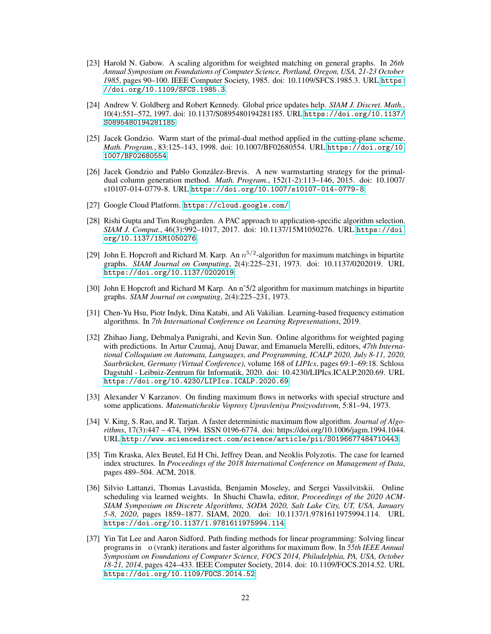- <span id="page-21-6"></span>[23] Harold N. Gabow. A scaling algorithm for weighted matching on general graphs. In *26th Annual Symposium on Foundations of Computer Science, Portland, Oregon, USA, 21-23 October 1985*, pages 90–100. IEEE Computer Society, 1985. doi: 10.1109/SFCS.1985.3. URL [https:](https://doi.org/10.1109/SFCS.1985.3) [//doi.org/10.1109/SFCS.1985.3](https://doi.org/10.1109/SFCS.1985.3).
- <span id="page-21-5"></span>[24] Andrew V. Goldberg and Robert Kennedy. Global price updates help. *SIAM J. Discret. Math.*, 10(4):551–572, 1997. doi: 10.1137/S0895480194281185. URL [https://doi.org/10.1137/](https://doi.org/10.1137/S0895480194281185) [S0895480194281185](https://doi.org/10.1137/S0895480194281185).
- <span id="page-21-4"></span>[25] Jacek Gondzio. Warm start of the primal-dual method applied in the cutting-plane scheme. *Math. Program.*, 83:125–143, 1998. doi: 10.1007/BF02680554. URL [https://doi.org/10.](https://doi.org/10.1007/BF02680554) [1007/BF02680554](https://doi.org/10.1007/BF02680554).
- <span id="page-21-3"></span>[26] Jacek Gondzio and Pablo González-Brevis. A new warmstarting strategy for the primaldual column generation method. *Math. Program.*, 152(1-2):113–146, 2015. doi: 10.1007/ s10107-014-0779-8. URL <https://doi.org/10.1007/s10107-014-0779-8>.
- <span id="page-21-14"></span>[27] Google Cloud Platform. <https://cloud.google.com/>.
- <span id="page-21-11"></span>[28] Rishi Gupta and Tim Roughgarden. A PAC approach to application-specific algorithm selection. *SIAM J. Comput.*, 46(3):992–1017, 2017. doi: 10.1137/15M1050276. URL [https://doi.](https://doi.org/10.1137/15M1050276) [org/10.1137/15M1050276](https://doi.org/10.1137/15M1050276).
- <span id="page-21-12"></span>[29] John E. Hopcroft and Richard M. Karp. An  $n^{5/2}$ -algorithm for maximum matchings in bipartite graphs. *SIAM Journal on Computing*, 2(4):225–231, 1973. doi: 10.1137/0202019. URL <https://doi.org/10.1137/0202019>.
- <span id="page-21-8"></span>[30] John E Hopcroft and Richard M Karp. An nˆ5/2 algorithm for maximum matchings in bipartite graphs. *SIAM Journal on computing*, 2(4):225–231, 1973.
- <span id="page-21-10"></span>[31] Chen-Yu Hsu, Piotr Indyk, Dina Katabi, and Ali Vakilian. Learning-based frequency estimation algorithms. In *7th International Conference on Learning Representations*, 2019.
- <span id="page-21-0"></span>[32] Zhihao Jiang, Debmalya Panigrahi, and Kevin Sun. Online algorithms for weighted paging with predictions. In Artur Czumaj, Anuj Dawar, and Emanuela Merelli, editors, *47th International Colloquium on Automata, Languages, and Programming, ICALP 2020, July 8-11, 2020, Saarbrücken, Germany (Virtual Conference)*, volume 168 of *LIPIcs*, pages 69:1–69:18. Schloss Dagstuhl - Leibniz-Zentrum für Informatik, 2020. doi: 10.4230/LIPIcs.ICALP.2020.69. URL <https://doi.org/10.4230/LIPIcs.ICALP.2020.69>.
- <span id="page-21-7"></span>[33] Alexander V Karzanov. On finding maximum flows in networks with special structure and some applications. *Matematicheskie Voprosy Upravleniya Proizvodstvom*, 5:81–94, 1973.
- <span id="page-21-13"></span>[34] V. King, S. Rao, and R. Tarjan. A faster deterministic maximum flow algorithm. *Journal of Algorithms*, 17(3):447 – 474, 1994. ISSN 0196-6774. doi: https://doi.org/10.1006/jagm.1994.1044. URL <http://www.sciencedirect.com/science/article/pii/S0196677484710443>.
- <span id="page-21-2"></span>[35] Tim Kraska, Alex Beutel, Ed H Chi, Jeffrey Dean, and Neoklis Polyzotis. The case for learned index structures. In *Proceedings of the 2018 International Conference on Management of Data*, pages 489–504. ACM, 2018.
- <span id="page-21-1"></span>[36] Silvio Lattanzi, Thomas Lavastida, Benjamin Moseley, and Sergei Vassilvitskii. Online scheduling via learned weights. In Shuchi Chawla, editor, *Proceedings of the 2020 ACM-SIAM Symposium on Discrete Algorithms, SODA 2020, Salt Lake City, UT, USA, January 5-8, 2020*, pages 1859–1877. SIAM, 2020. doi: 10.1137/1.9781611975994.114. URL <https://doi.org/10.1137/1.9781611975994.114>.
- <span id="page-21-9"></span>[37] Yin Tat Lee and Aaron Sidford. Path finding methods for linear programming: Solving linear programs in o (vrank) iterations and faster algorithms for maximum flow. In *55th IEEE Annual Symposium on Foundations of Computer Science, FOCS 2014, Philadelphia, PA, USA, October 18-21, 2014*, pages 424–433. IEEE Computer Society, 2014. doi: 10.1109/FOCS.2014.52. URL <https://doi.org/10.1109/FOCS.2014.52>.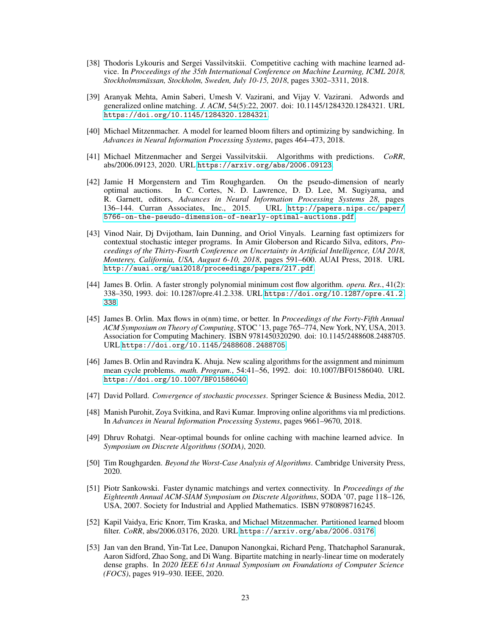- <span id="page-22-2"></span>[38] Thodoris Lykouris and Sergei Vassilvitskii. Competitive caching with machine learned advice. In *Proceedings of the 35th International Conference on Machine Learning, ICML 2018, Stockholmsmässan, Stockholm, Sweden, July 10-15, 2018*, pages 3302–3311, 2018.
- <span id="page-22-9"></span>[39] Aranyak Mehta, Amin Saberi, Umesh V. Vazirani, and Vijay V. Vazirani. Adwords and generalized online matching. *J. ACM*, 54(5):22, 2007. doi: 10.1145/1284320.1284321. URL <https://doi.org/10.1145/1284320.1284321>.
- <span id="page-22-10"></span>[40] Michael Mitzenmacher. A model for learned bloom filters and optimizing by sandwiching. In *Advances in Neural Information Processing Systems*, pages 464–473, 2018.
- <span id="page-22-1"></span>[41] Michael Mitzenmacher and Sergei Vassilvitskii. Algorithms with predictions. *CoRR*, abs/2006.09123, 2020. URL <https://arxiv.org/abs/2006.09123>.
- <span id="page-22-15"></span>[42] Jamie H Morgenstern and Tim Roughgarden. On the pseudo-dimension of nearly optimal auctions. In C. Cortes, N. D. Lawrence, D. D. Lee, M. Sugiyama, and R. Garnett, editors, *Advances in Neural Information Processing Systems 28*, pages 136–144. Curran Associates, Inc., 2015. URL [http://papers.nips.cc/paper/](http://papers.nips.cc/paper/5766-on-the-pseudo-dimension-of-nearly-optimal-auctions.pdf) [5766-on-the-pseudo-dimension-of-nearly-optimal-auctions.pdf](http://papers.nips.cc/paper/5766-on-the-pseudo-dimension-of-nearly-optimal-auctions.pdf).
- <span id="page-22-5"></span>[43] Vinod Nair, Dj Dvijotham, Iain Dunning, and Oriol Vinyals. Learning fast optimizers for contextual stochastic integer programs. In Amir Globerson and Ricardo Silva, editors, *Proceedings of the Thirty-Fourth Conference on Uncertainty in Artificial Intelligence, UAI 2018, Monterey, California, USA, August 6-10, 2018*, pages 591–600. AUAI Press, 2018. URL <http://auai.org/uai2018/proceedings/papers/217.pdf>.
- <span id="page-22-8"></span>[44] James B. Orlin. A faster strongly polynomial minimum cost flow algorithm. *opera. Res.*, 41(2): 338–350, 1993. doi: 10.1287/opre.41.2.338. URL [https://doi.org/10.1287/opre.41.2.](https://doi.org/10.1287/opre.41.2.338) [338](https://doi.org/10.1287/opre.41.2.338).
- <span id="page-22-13"></span>[45] James B. Orlin. Max flows in o(nm) time, or better. In *Proceedings of the Forty-Fifth Annual ACM Symposium on Theory of Computing*, STOC '13, page 765–774, New York, NY, USA, 2013. Association for Computing Machinery. ISBN 9781450320290. doi: 10.1145/2488608.2488705. URL <https://doi.org/10.1145/2488608.2488705>.
- <span id="page-22-6"></span>[46] James B. Orlin and Ravindra K. Ahuja. New scaling algorithms for the assignment and minimum mean cycle problems. *math. Program.*, 54:41–56, 1992. doi: 10.1007/BF01586040. URL <https://doi.org/10.1007/BF01586040>.
- <span id="page-22-14"></span>[47] David Pollard. *Convergence of stochastic processes*. Springer Science & Business Media, 2012.
- <span id="page-22-4"></span>[48] Manish Purohit, Zoya Svitkina, and Ravi Kumar. Improving online algorithms via ml predictions. In *Advances in Neural Information Processing Systems*, pages 9661–9670, 2018.
- <span id="page-22-3"></span>[49] Dhruv Rohatgi. Near-optimal bounds for online caching with machine learned advice. In *Symposium on Discrete Algorithms (SODA)*, 2020.
- <span id="page-22-0"></span>[50] Tim Roughgarden. *Beyond the Worst-Case Analysis of Algorithms*. Cambridge University Press, 2020.
- <span id="page-22-12"></span>[51] Piotr Sankowski. Faster dynamic matchings and vertex connectivity. In *Proceedings of the Eighteenth Annual ACM-SIAM Symposium on Discrete Algorithms*, SODA '07, page 118–126, USA, 2007. Society for Industrial and Applied Mathematics. ISBN 9780898716245.
- <span id="page-22-11"></span>[52] Kapil Vaidya, Eric Knorr, Tim Kraska, and Michael Mitzenmacher. Partitioned learned bloom filter. *CoRR*, abs/2006.03176, 2020. URL <https://arxiv.org/abs/2006.03176>.
- <span id="page-22-7"></span>[53] Jan van den Brand, Yin-Tat Lee, Danupon Nanongkai, Richard Peng, Thatchaphol Saranurak, Aaron Sidford, Zhao Song, and Di Wang. Bipartite matching in nearly-linear time on moderately dense graphs. In *2020 IEEE 61st Annual Symposium on Foundations of Computer Science (FOCS)*, pages 919–930. IEEE, 2020.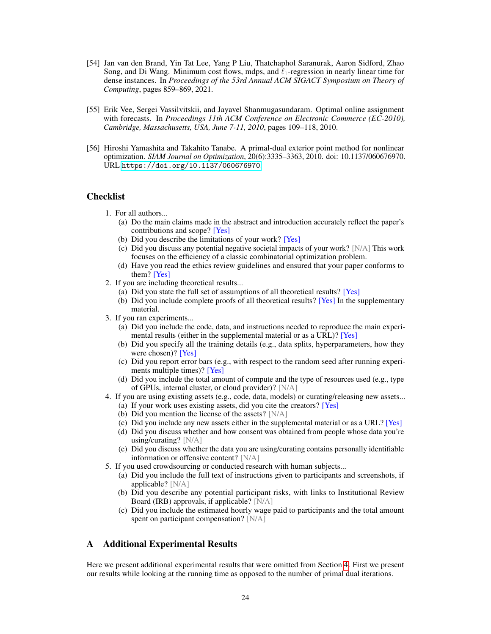- <span id="page-23-2"></span>[54] Jan van den Brand, Yin Tat Lee, Yang P Liu, Thatchaphol Saranurak, Aaron Sidford, Zhao Song, and Di Wang. Minimum cost flows, mdps, and  $\ell_1$ -regression in nearly linear time for dense instances. In *Proceedings of the 53rd Annual ACM SIGACT Symposium on Theory of Computing*, pages 859–869, 2021.
- <span id="page-23-1"></span>[55] Erik Vee, Sergei Vassilvitskii, and Jayavel Shanmugasundaram. Optimal online assignment with forecasts. In *Proceedings 11th ACM Conference on Electronic Commerce (EC-2010), Cambridge, Massachusetts, USA, June 7-11, 2010*, pages 109–118, 2010.
- <span id="page-23-0"></span>[56] Hiroshi Yamashita and Takahito Tanabe. A primal-dual exterior point method for nonlinear optimization. *SIAM Journal on Optimization*, 20(6):3335–3363, 2010. doi: 10.1137/060676970. URL <https://doi.org/10.1137/060676970>.

### Checklist

- 1. For all authors...
	- (a) Do the main claims made in the abstract and introduction accurately reflect the paper's contributions and scope? [Yes]
	- (b) Did you describe the limitations of your work? [Yes]
	- (c) Did you discuss any potential negative societal impacts of your work? [N/A] This work focuses on the efficiency of a classic combinatorial optimization problem.
	- (d) Have you read the ethics review guidelines and ensured that your paper conforms to them? [Yes]
- 2. If you are including theoretical results...
	- (a) Did you state the full set of assumptions of all theoretical results? [Yes]
	- (b) Did you include complete proofs of all theoretical results? [Yes] In the supplementary material.
- 3. If you ran experiments...
	- (a) Did you include the code, data, and instructions needed to reproduce the main experimental results (either in the supplemental material or as a URL)? [Yes]
	- (b) Did you specify all the training details (e.g., data splits, hyperparameters, how they were chosen)? [Yes]
	- (c) Did you report error bars (e.g., with respect to the random seed after running experiments multiple times)? [Yes]
	- (d) Did you include the total amount of compute and the type of resources used (e.g., type of GPUs, internal cluster, or cloud provider)? [N/A]
- 4. If you are using existing assets (e.g., code, data, models) or curating/releasing new assets... (a) If your work uses existing assets, did you cite the creators? [Yes]
	- (b) Did you mention the license of the assets? [N/A]
	- (c) Did you include any new assets either in the supplemental material or as a URL? [Yes]
	- (d) Did you discuss whether and how consent was obtained from people whose data you're using/curating? [N/A]
	- (e) Did you discuss whether the data you are using/curating contains personally identifiable information or offensive content? [N/A]
- 5. If you used crowdsourcing or conducted research with human subjects...
	- (a) Did you include the full text of instructions given to participants and screenshots, if applicable? [N/A]
	- (b) Did you describe any potential participant risks, with links to Institutional Review Board (IRB) approvals, if applicable? [N/A]
	- (c) Did you include the estimated hourly wage paid to participants and the total amount spent on participant compensation? [N/A]

## <span id="page-23-3"></span>A Additional Experimental Results

Here we present additional experimental results that were omitted from Section [4.](#page-12-1) First we present our results while looking at the running time as opposed to the number of primal dual iterations.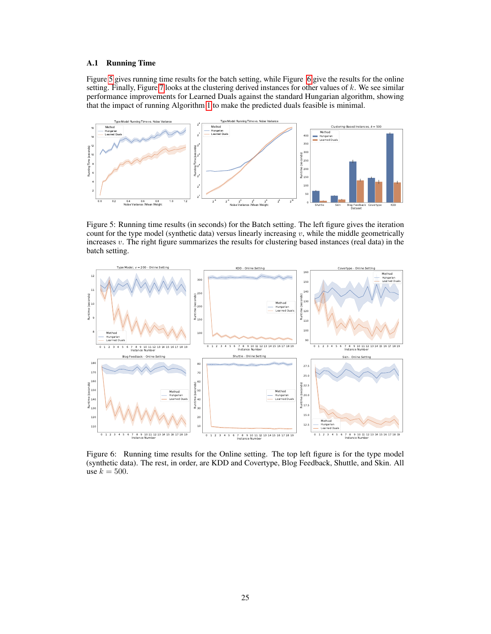### A.1 Running Time

Figure [5](#page-24-0) gives running time results for the batch setting, while Figure [6](#page-24-1) give the results for the online setting. Finally, Figure [7](#page-25-0) looks at the clustering derived instances for other values of  $k$ . We see similar performance improvements for Learned Duals against the standard Hungarian algorithm, showing that the impact of running Algorithm [1](#page-6-0) to make the predicted duals feasible is minimal.



<span id="page-24-0"></span>Figure 5: Running time results (in seconds) for the Batch setting. The left figure gives the iteration count for the type model (synthetic data) versus linearly increasing  $v$ , while the middle geometrically increases  $v$ . The right figure summarizes the results for clustering based instances (real data) in the batch setting.



<span id="page-24-1"></span>Figure 6: Running time results for the Online setting. The top left figure is for the type model (synthetic data). The rest, in order, are KDD and Covertype, Blog Feedback, Shuttle, and Skin. All use  $k = 500$ .